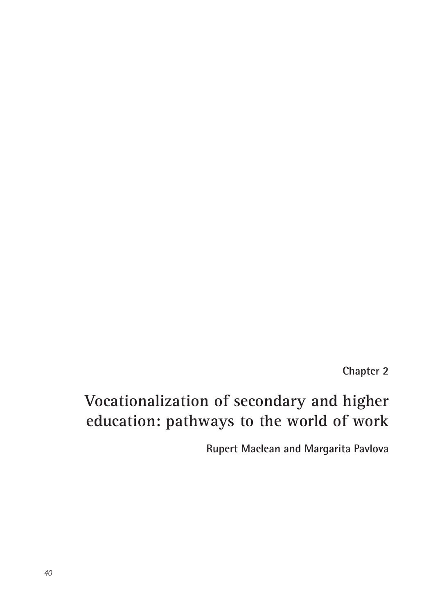**Chapter 2**

# **Vocationalization of secondary and higher education: pathways to the world of work**

**Rupert Maclean and Margarita Pavlova**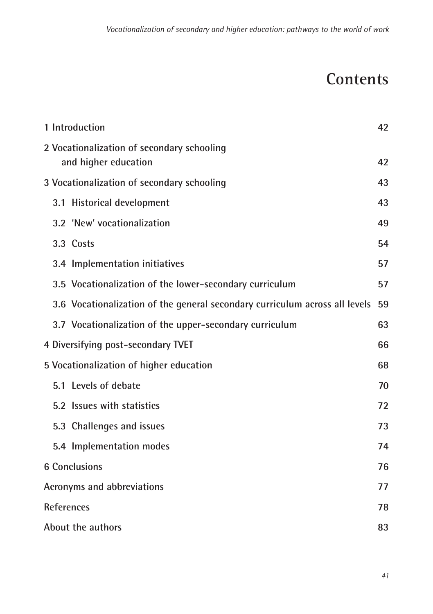# **Contents**

| 1 Introduction                                                              | 42 |
|-----------------------------------------------------------------------------|----|
| 2 Vocationalization of secondary schooling<br>and higher education          | 42 |
| 3 Vocationalization of secondary schooling                                  | 43 |
| 3.1 Historical development                                                  | 43 |
| 3.2 'New' vocationalization                                                 | 49 |
| 3.3 Costs                                                                   | 54 |
| 3.4 Implementation initiatives                                              | 57 |
| 3.5 Vocationalization of the lower-secondary curriculum                     | 57 |
| 3.6 Vocationalization of the general secondary curriculum across all levels | 59 |
| 3.7 Vocationalization of the upper-secondary curriculum                     | 63 |
| 4 Diversifying post-secondary TVET                                          | 66 |
| 5 Vocationalization of higher education                                     | 68 |
| 5.1 Levels of debate                                                        | 70 |
| 5.2 Issues with statistics                                                  | 72 |
| 5.3 Challenges and issues                                                   | 73 |
| 5.4 Implementation modes                                                    | 74 |
| <b>6 Conclusions</b>                                                        | 76 |
| Acronyms and abbreviations                                                  | 77 |
| <b>References</b>                                                           | 78 |
| About the authors                                                           | 83 |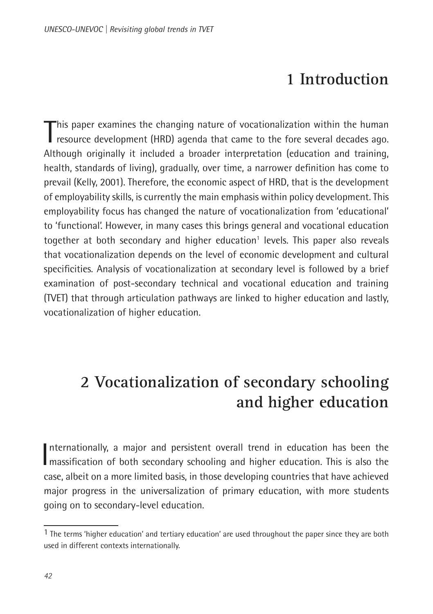## **1 Introduction**

<span id="page-2-0"></span>This paper examines the changing nature of vocationalization within the human<br>Tresource development (HRD) agenda that came to the fore several decades ago. resource development (HRD) agenda that came to the fore several decades ago. Although originally it included a broader interpretation (education and training, health, standards of living), gradually, over time, a narrower definition has come to prevail (Kelly, 2001). Therefore, the economic aspect of HRD, that is the development of employability skills, is currently the main emphasis within policy development. This employability focus has changed the nature of vocationalization from 'educational' to 'functional'. However, in many cases this brings general and vocational education together at both secondary and higher education<sup>1</sup> levels. This paper also reveals that vocationalization depends on the level of economic development and cultural specificities. Analysis of vocationalization at secondary level is followed by a brief examination of post-secondary technical and vocational education and training (TVET) that through articulation pathways are linked to higher education and lastly, vocationalization of higher education.

# **2 Vocationalization of secondary schooling and higher education**

Internationally, a major and persistent overall trend in education has been the massification of both secondary schooling and higher education. This is also the nternationally, a major and persistent overall trend in education has been the case, albeit on a more limited basis, in those developing countries that have achieved major progress in the universalization of primary education, with more students going on to secondary-level education.

<sup>1</sup> The terms 'higher education' and tertiary education' are used throughout the paper since they are both used in different contexts internationally.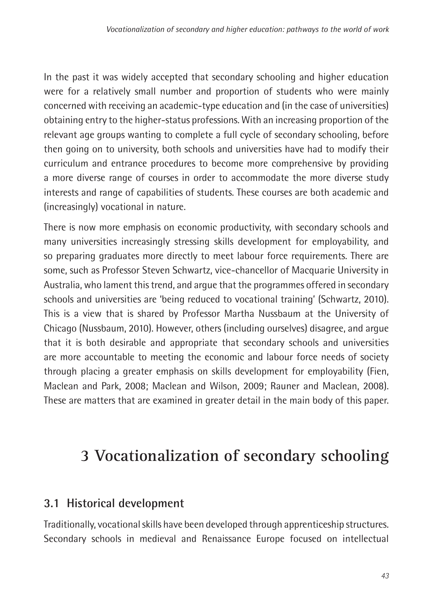<span id="page-3-0"></span>In the past it was widely accepted that secondary schooling and higher education were for a relatively small number and proportion of students who were mainly concerned with receiving an academic-type education and (in the case of universities) obtaining entry to the higher-status professions. With an increasing proportion of the relevant age groups wanting to complete a full cycle of secondary schooling, before then going on to university, both schools and universities have had to modify their curriculum and entrance procedures to become more comprehensive by providing a more diverse range of courses in order to accommodate the more diverse study interests and range of capabilities of students. These courses are both academic and (increasingly) vocational in nature.

There is now more emphasis on economic productivity, with secondary schools and many universities increasingly stressing skills development for employability, and so preparing graduates more directly to meet labour force requirements. There are some, such as Professor Steven Schwartz, vice-chancellor of Macquarie University in Australia, who lament this trend, and argue that the programmes offered in secondary schools and universities are 'being reduced to vocational training' (Schwartz, 2010). This is a view that is shared by Professor Martha Nussbaum at the University of Chicago (Nussbaum, 2010). However, others (including ourselves) disagree, and argue that it is both desirable and appropriate that secondary schools and universities are more accountable to meeting the economic and labour force needs of society through placing a greater emphasis on skills development for employability (Fien, Maclean and Park, 2008; Maclean and Wilson, 2009; Rauner and Maclean, 2008). These are matters that are examined in greater detail in the main body of this paper.

# **3 Vocationalization of secondary schooling**

## **3.1 Historical development**

Traditionally, vocational skills have been developed through apprenticeship structures. Secondary schools in medieval and Renaissance Europe focused on intellectual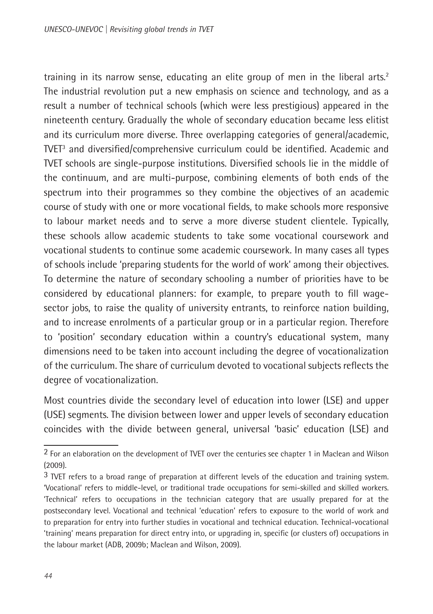training in its narrow sense, educating an elite group of men in the liberal arts.<sup>2</sup> The industrial revolution put a new emphasis on science and technology, and as a result a number of technical schools (which were less prestigious) appeared in the nineteenth century. Gradually the whole of secondary education became less elitist and its curriculum more diverse. Three overlapping categories of general/academic, TVET3 and diversified/comprehensive curriculum could be identified. Academic and TVET schools are single-purpose institutions. Diversified schools lie in the middle of the continuum, and are multi-purpose, combining elements of both ends of the spectrum into their programmes so they combine the objectives of an academic course of study with one or more vocational fields, to make schools more responsive to labour market needs and to serve a more diverse student clientele. Typically, these schools allow academic students to take some vocational coursework and vocational students to continue some academic coursework. In many cases all types of schools include 'preparing students for the world of work' among their objectives. To determine the nature of secondary schooling a number of priorities have to be considered by educational planners: for example, to prepare youth to fill wagesector jobs, to raise the quality of university entrants, to reinforce nation building, and to increase enrolments of a particular group or in a particular region. Therefore to 'position' secondary education within a country's educational system, many dimensions need to be taken into account including the degree of vocationalization of the curriculum. The share of curriculum devoted to vocational subjects reflects the degree of vocationalization.

Most countries divide the secondary level of education into lower (LSE) and upper (USE) segments. The division between lower and upper levels of secondary education coincides with the divide between general, universal 'basic' education (LSE) and

<sup>2</sup> For an elaboration on the development of TVET over the centuries see chapter 1 in Maclean and Wilson (2009).

<sup>3</sup> TVET refers to a broad range of preparation at different levels of the education and training system. 'Vocational' refers to middle-level, or traditional trade occupations for semi-skilled and skilled workers. 'Technical' refers to occupations in the technician category that are usually prepared for at the postsecondary level. Vocational and technical 'education' refers to exposure to the world of work and to preparation for entry into further studies in vocational and technical education. Technical-vocational 'training' means preparation for direct entry into, or upgrading in, specific (or clusters of) occupations in the labour market (ADB, 2009b; Maclean and Wilson, 2009).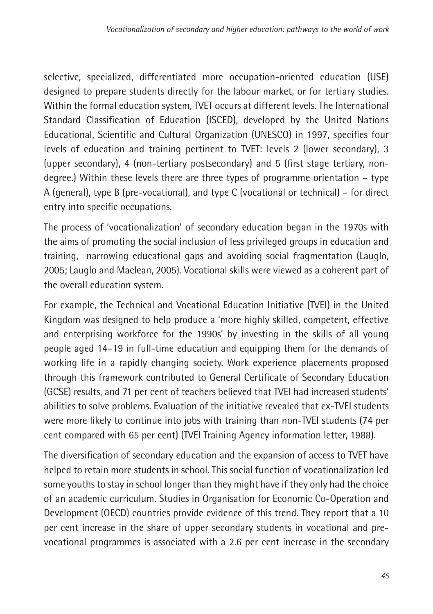selective, specialized, differentiated more occupation-oriented education (USE) designed to prepare students directly for the labour market, or for tertiary studies. Within the formal education system, TVET occurs at different levels. The International Standard Classification of Education (ISCED), developed by the United Nations Educational, Scientific and Cultural Organization (UNESCO) in 1997, specifies four levels of education and training pertinent to TVET: levels 2 (lower secondary), 3 (upper secondary), 4 (non-tertiary postsecondary) and 5 (first stage tertiary, nondegree.) Within these levels there are three types of programme orientation – type A (general), type B (pre-vocational), and type C (vocational or technical) – for direct entry into specific occupations.

The process of 'vocationalization' of secondary education began in the 1970s with the aims of promoting the social inclusion of less privileged groups in education and training, narrowing educational gaps and avoiding social fragmentation (Lauglo, 2005; Lauglo and Maclean, 2005). Vocational skills were viewed as a coherent part of the overall education system.

For example, the Technical and Vocational Education Initiative (TVEI) in the United Kingdom was designed to help produce a 'more highly skilled, competent, effective and enterprising workforce for the 1990s' by investing in the skills of all young people aged 14–19 in full-time education and equipping them for the demands of working life in a rapidly changing society. Work experience placements proposed through this framework contributed to General Certificate of Secondary Education (GCSE) results, and 71 per cent of teachers believed that TVEI had increased students' abilities to solve problems. Evaluation of the initiative revealed that ex-TVEI students were more likely to continue into jobs with training than non-TVEI students (74 per cent compared with 65 per cent) (TVEI Training Agency information letter, 1988).

The diversification of secondary education and the expansion of access to TVET have helped to retain more students in school. This social function of vocationalization led some youths to stay in school longer than they might have if they only had the choice of an academic curriculum. Studies in Organisation for Economic Co-Operation and Development (OECD) countries provide evidence of this trend. They report that a 10 per cent increase in the share of upper secondary students in vocational and prevocational programmes is associated with a 2.6 per cent increase in the secondary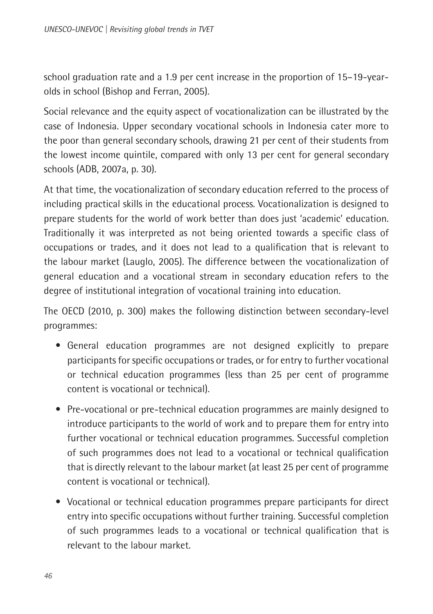school graduation rate and a 1.9 per cent increase in the proportion of 15–19-yearolds in school (Bishop and Ferran, 2005).

Social relevance and the equity aspect of vocationalization can be illustrated by the case of Indonesia. Upper secondary vocational schools in Indonesia cater more to the poor than general secondary schools, drawing 21 per cent of their students from the lowest income quintile, compared with only 13 per cent for general secondary schools (ADB, 2007a, p. 30).

At that time, the vocationalization of secondary education referred to the process of including practical skills in the educational process. Vocationalization is designed to prepare students for the world of work better than does just 'academic' education. Traditionally it was interpreted as not being oriented towards a specific class of occupations or trades, and it does not lead to a qualification that is relevant to the labour market (Lauglo, 2005). The difference between the vocationalization of general education and a vocational stream in secondary education refers to the degree of institutional integration of vocational training into education.

The OECD (2010, p. 300) makes the following distinction between secondary-level programmes:

- General education programmes are not designed explicitly to prepare participants for specific occupations or trades, or for entry to further vocational or technical education programmes (less than 25 per cent of programme content is vocational or technical).
- Pre-vocational or pre-technical education programmes are mainly designed to introduce participants to the world of work and to prepare them for entry into further vocational or technical education programmes. Successful completion of such programmes does not lead to a vocational or technical qualification that is directly relevant to the labour market (at least 25 per cent of programme content is vocational or technical).
- Vocational or technical education programmes prepare participants for direct entry into specific occupations without further training. Successful completion of such programmes leads to a vocational or technical qualification that is relevant to the labour market.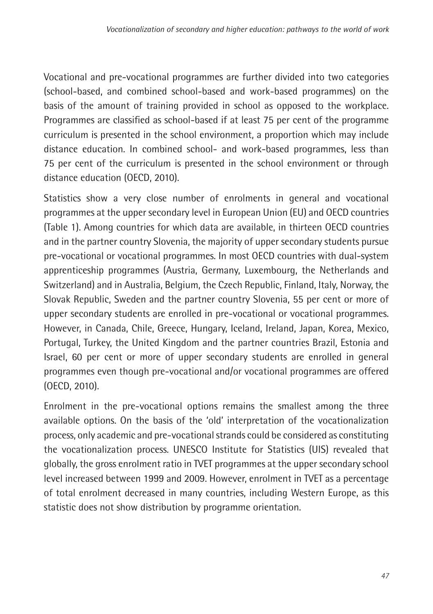Vocational and pre-vocational programmes are further divided into two categories (school-based, and combined school-based and work-based programmes) on the basis of the amount of training provided in school as opposed to the workplace. Programmes are classified as school-based if at least 75 per cent of the programme curriculum is presented in the school environment, a proportion which may include distance education. In combined school- and work-based programmes, less than 75 per cent of the curriculum is presented in the school environment or through distance education (OECD, 2010).

Statistics show a very close number of enrolments in general and vocational programmes at the upper secondary level in European Union (EU) and OECD countries (Table 1). Among countries for which data are available, in thirteen OECD countries and in the partner country Slovenia, the majority of upper secondary students pursue pre-vocational or vocational programmes. In most OECD countries with dual-system apprenticeship programmes (Austria, Germany, Luxembourg, the Netherlands and Switzerland) and in Australia, Belgium, the Czech Republic, Finland, Italy, Norway, the Slovak Republic, Sweden and the partner country Slovenia, 55 per cent or more of upper secondary students are enrolled in pre-vocational or vocational programmes. However, in Canada, Chile, Greece, Hungary, Iceland, Ireland, Japan, Korea, Mexico, Portugal, Turkey, the United Kingdom and the partner countries Brazil, Estonia and Israel, 60 per cent or more of upper secondary students are enrolled in general programmes even though pre-vocational and/or vocational programmes are offered (OECD, 2010).

Enrolment in the pre-vocational options remains the smallest among the three available options. On the basis of the 'old' interpretation of the vocationalization process, only academic and pre-vocational strands could be considered as constituting the vocationalization process. UNESCO Institute for Statistics (UIS) revealed that globally, the gross enrolment ratio in TVET programmes at the upper secondary school level increased between 1999 and 2009. However, enrolment in TVET as a percentage of total enrolment decreased in many countries, including Western Europe, as this statistic does not show distribution by programme orientation.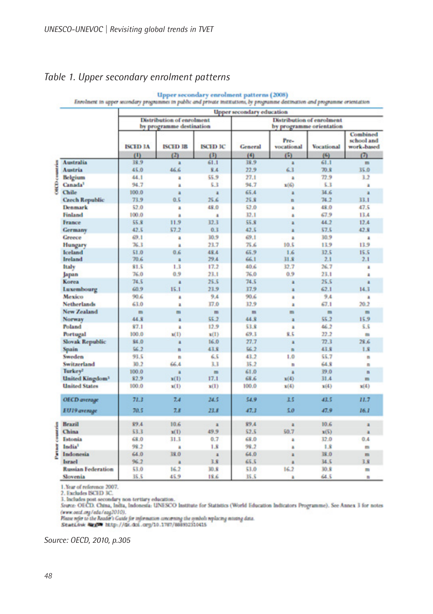#### *Table 1. Upper secondary enrolment patterns*

|                                   | . .                                                   |                 |                 | $\cdots$<br><b>Upper secondary education</b>          |                    |                   |                                      |
|-----------------------------------|-------------------------------------------------------|-----------------|-----------------|-------------------------------------------------------|--------------------|-------------------|--------------------------------------|
|                                   | Distribution of enrolment<br>by programme destination |                 |                 | Distribution of enrolment<br>by programme orientation |                    |                   |                                      |
|                                   | <b>ISCED 3A</b>                                       | <b>ISCHD 3B</b> | <b>ISCID IC</b> | General                                               | Pre-<br>vocational | <b>Vocational</b> | Combined<br>school and<br>work-based |
|                                   | (1)                                                   | (2)             | (3)             | (4)                                                   | (5)                | (6)               | $\sigma$                             |
| Australia                         | 38.9                                                  | ×               | 61.1            | 38.9                                                  | a                  | 61.1              | m                                    |
| coantries<br>Austria              | 45.0                                                  | 46.6            | 8.4             | 22.9                                                  | 6.3                | 70.8              | 35.0                                 |
| Belgium                           | 44.1                                                  | ä               | \$5.9           | 27.1                                                  | a                  | 72.9              | 3.2                                  |
| ĝ<br>Canada <sup>1</sup>          | 94.7                                                  | a               | 5.3             | 94.7                                                  | x(6)               | 5.3               | z                                    |
| Chile                             | 100.0                                                 | ٠               | $\blacksquare$  | 65.4                                                  | a                  | 34.6              | $\overline{a}$                       |
| <b>Czech Republic</b>             | 73.9                                                  | 0.5             | 25.6            | 25.8                                                  | n                  | 74.2              | 33.1                                 |
| <b>Denmark</b>                    | \$2.0                                                 | A               | 48.0            | 52.0                                                  | à.                 | 48.0              | 47.5                                 |
| Finland                           | 100.0                                                 | ä               | $\overline{a}$  | 12.1                                                  | ٠                  | 67.9              | 13.4                                 |
| France                            | 55.8                                                  | 11.9            | 32.3            | 55.8                                                  | a                  | 44.2              | 12.4                                 |
| Germany                           | 42.5                                                  | 57.2            | 0.3             | 42.5                                                  | ٠                  | 57.5              | 42.8                                 |
| Greece                            | 69.1                                                  | a               | 30.9            | 49.1                                                  | $\overline{a}$     | 10.9              | a                                    |
| Hungary                           | 76.3                                                  | ä               | 23.7            | 75.6                                                  | 10.5               | 13.9              | 13.9                                 |
| Iceland                           | 51.0                                                  | 0.6             | 48.4            | 65.9                                                  | 1.6                | 32.5              | 15.5                                 |
| Ireland                           | 70.6                                                  | а               | 29.4            | 66.1                                                  | 31.8               | 2.1               | 2.1                                  |
| <b>Italy</b>                      | \$1.5                                                 | 1.3             | 17.2            | 40.6                                                  | 32.7               | 26.7              | Ł                                    |
| Japan                             | 76.0                                                  | 0.9             | 23.1            | 76.0                                                  | 0.9                | 23.1              | a,                                   |
| Korea                             | 74.5                                                  | a               | 25.5            | 74.5                                                  | ä                  | 25.5              | a                                    |
| Luxembourg                        | 60.9                                                  | 15.1            | 23.9            | 37.9                                                  | a                  | 62.1              | 14.3                                 |
| Mexico                            | 90.6                                                  | a               | 9.4             | 90.6                                                  | ٠                  | 9.4               | ٠                                    |
| <b>Netherlands</b>                | 63.0                                                  | a               | 37.0            | 32.9                                                  | ä                  | 67.1              | 20.2                                 |
| New Zealand                       | m                                                     | m               | m               | m                                                     | m                  | ۰                 | ۰                                    |
| Norway                            | 44.8                                                  | $\blacksquare$  | \$5.2           | 44.8                                                  | a                  | 55.2              | 15.9                                 |
| <b>Poland</b>                     | \$7.1                                                 | a               | 12.9            | 53.8                                                  | ٠                  | 46.2              | 5.5                                  |
| Portugal                          | 100.0                                                 | x(1)            | x(1)            | 69.3                                                  | 显示                 | 22.2              | ۰                                    |
| <b>Slovak Republic</b>            | \$4.0                                                 | a               | 16.0            | 27.7                                                  | a                  | 72.3              | 28.6                                 |
| Spain                             | 56.2                                                  | n               | 43.8            | 56.2                                                  | n                  | 43.8              | 1.8                                  |
| Sweden                            | 93.5                                                  | n               | 65              | 43.2                                                  | 1.0                | 55.7              | $\overline{\phantom{a}}$             |
| Switzerland                       | 30.2                                                  | 66.4            | 3.3             | 35.2                                                  | n                  | 64.8              | n                                    |
| Turkey?                           | 100.0                                                 | к               | m               | 61.0                                                  | a                  | 39.0              | $\blacksquare$                       |
| <b>United Kingdom<sup>3</sup></b> | 82.9                                                  | x(1)            | 17.1            | 68.6                                                  | x(4)               | 31.4              | m                                    |
| <b>United States</b>              | 100.0                                                 | x(1)            | x(1)            | 100.0                                                 | x(4)               | x(4)              | x(4)                                 |
| <b>OECD</b> average               | 71.3                                                  | 7.4             | 24.5            | 54.9                                                  | 3.5                | 43.5              | 11.7                                 |
| EU19 average                      | 70.5                                                  | 7.8             | 22.8            | 47.3                                                  | 5.0                | 47.9              | 16.1                                 |
| Brazil<br>J                       | \$9.4                                                 | 10.6            | 富               | 89.4                                                  | a                  | 10.6              | a                                    |
| China                             | 53.3                                                  | x(1)            | 49.9            | 52.5                                                  | 50.7               | x(5)              |                                      |
| š<br>Estonia                      | 68.0                                                  | 31.3            | 0.7             | 68.0                                                  | ä                  | 32.0              | 0.4                                  |
| India <sup>1</sup><br>ı           | 98.2                                                  | a               | 1.8             | 98.2                                                  | ä                  | 1.8               | m                                    |
| Indonesia                         | 64.0                                                  | 38.0            | a               | 64.0                                                  | a                  | 遂.0               | m                                    |
| Israel                            | 96.2                                                  | a               | 3.8             | 65.5                                                  |                    | 34.5              | 3.8                                  |
| <b>Russian Federation</b>         | 53.0                                                  | 16.2            | 30.8            | 53.0                                                  | 16.2               | 30.8              | ۰                                    |
| Slovenia                          | 35.5                                                  | 45.9            | 18.6            | 35.5                                                  | ×                  | 64.5              | ÷                                    |

## Upper secondary enrolment patterns (2008)<br>Enrolment in upper secondary programme in public and private institutions, by programme destination and programme orientation

1. Year of reference 2007.

2. Excludes ISCED 3C.

3. Includes post secondary non tertiary education.<br>Source: OECD, China, India, Indonesia: UNESCO Institute for Statistics (World Education Indicators Programme). See Annex 3 for notes Source Ortests. Canna, instant, insomessie. Giverselve assumer for Statistics (works est.<br>(www.eed.org/edu/eag2010).<br>Flase refer to the Reader's Guide for information concerning the symbols replacing missing data.<br>Statisti

*Source: OECD, 2010, p.305*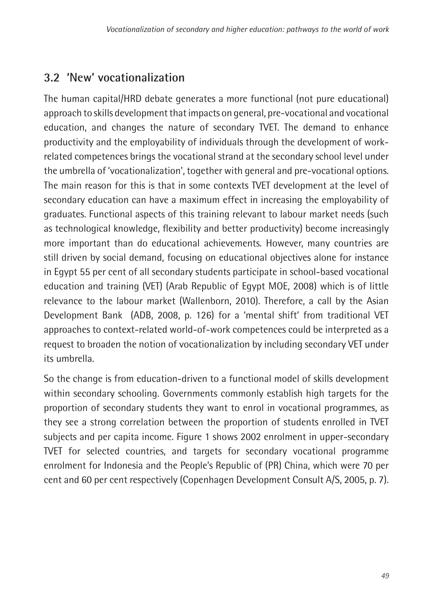## <span id="page-9-0"></span>**3.2 'New' vocationalization**

The human capital/HRD debate generates a more functional (not pure educational) approach to skills development that impacts on general, pre-vocational and vocational education, and changes the nature of secondary TVET. The demand to enhance productivity and the employability of individuals through the development of workrelated competences brings the vocational strand at the secondary school level under the umbrella of 'vocationalization', together with general and pre-vocational options. The main reason for this is that in some contexts TVET development at the level of secondary education can have a maximum effect in increasing the employability of graduates. Functional aspects of this training relevant to labour market needs (such as technological knowledge, flexibility and better productivity) become increasingly more important than do educational achievements. However, many countries are still driven by social demand, focusing on educational objectives alone for instance in Egypt 55 per cent of all secondary students participate in school-based vocational education and training (VET) (Arab Republic of Egypt MOE, 2008) which is of little relevance to the labour market (Wallenborn, 2010). Therefore, a call by the Asian Development Bank (ADB, 2008, p. 126) for a 'mental shift' from traditional VET approaches to context-related world-of-work competences could be interpreted as a request to broaden the notion of vocationalization by including secondary VET under its umbrella.

So the change is from education-driven to a functional model of skills development within secondary schooling. Governments commonly establish high targets for the proportion of secondary students they want to enrol in vocational programmes, as they see a strong correlation between the proportion of students enrolled in TVET subjects and per capita income. Figure 1 shows 2002 enrolment in upper-secondary TVET for selected countries, and targets for secondary vocational programme enrolment for Indonesia and the People's Republic of (PR) China, which were 70 per cent and 60 per cent respectively (Copenhagen Development Consult A/S, 2005, p. 7).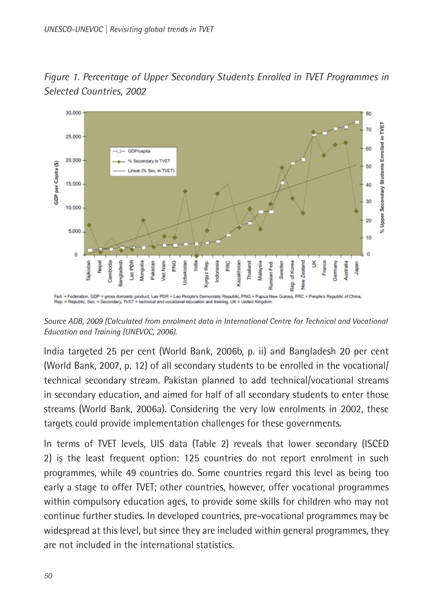

*Figure 1. Percentage of Upper Secondary Students Enrolled in TVET Programmes in Selected Countries, 2002*

*Source ADB, 2009 (Calculated from enrolment data in International Centre for Technical and Vocational Education and Training (UNEVOC, 2006).*

India targeted 25 per cent (World Bank, 2006b, p. ii) and Bangladesh 20 per cent (World Bank, 2007, p. 12) of all secondary students to be enrolled in the vocational/ technical secondary stream. Pakistan planned to add technical/vocational streams in secondary education, and aimed for half of all secondary students to enter those streams (World Bank, 2006a). Considering the very low enrolments in 2002, these targets could provide implementation challenges for these governments.

In terms of TVET levels, UIS data (Table 2) reveals that lower secondary (ISCED 2) is the least frequent option: 125 countries do not report enrolment in such programmes, while 49 countries do. Some countries regard this level as being too early a stage to offer TVET; other countries, however, offer vocational programmes within compulsory education ages, to provide some skills for children who may not continue further studies. In developed countries, pre-vocational programmes may be widespread at this level, but since they are included within general programmes, they are not included in the international statistics.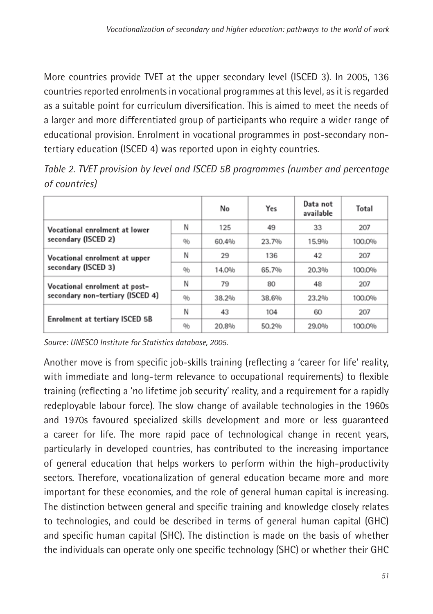More countries provide TVET at the upper secondary level (ISCED 3). In 2005, 136 countries reported enrolments in vocational programmes at this level, as it is regarded as a suitable point for curriculum diversification. This is aimed to meet the needs of a larger and more differentiated group of participants who require a wider range of educational provision. Enrolment in vocational programmes in post-secondary nontertiary education (ISCED 4) was reported upon in eighty countries.

|                                       |     | No    | Yes   | Data not<br>available | Total  |
|---------------------------------------|-----|-------|-------|-----------------------|--------|
| Vocational enrolment at lower         | Ν   | 125   | 49    | 33                    | 207    |
| secondary (ISCED 2)                   | 0/6 | 60.4% | 23.7% | 15.9%                 | 100.0% |
| Vocational enrolment at upper         | Ν   | 29    | 136   | 42                    | 207    |
| secondary (ISCED 3)                   | 0/6 | 14.0% | 65.7% | 20.3%                 | 100,0% |
| Vocational enrolment at post-         | Ν   | 79    | 80    | 48                    | 207    |
| secondary non-tertiary (ISCED 4)      | 0/6 | 38.2% | 38.6% | 23.2%                 | 100,0% |
|                                       | Ν   | 43    | 104   | 60                    | 207    |
| <b>Enrolment at tertiary ISCED 5B</b> | 0/6 | 20.8% | 50.2% | 29.0%                 | 100.0% |

*Table 2. TVET provision by level and ISCED 5B programmes (number and percentage of countries)*

*Source: UNESCO Institute for Statistics database, 2005.*

Another move is from specific job-skills training (reflecting a 'career for life' reality, with immediate and long-term relevance to occupational requirements) to flexible training (reflecting a 'no lifetime job security' reality, and a requirement for a rapidly redeployable labour force). The slow change of available technologies in the 1960s and 1970s favoured specialized skills development and more or less guaranteed a career for life. The more rapid pace of technological change in recent years, particularly in developed countries, has contributed to the increasing importance of general education that helps workers to perform within the high-productivity sectors. Therefore, vocationalization of general education became more and more important for these economies, and the role of general human capital is increasing. The distinction between general and specific training and knowledge closely relates to technologies, and could be described in terms of general human capital (GHC) and specific human capital (SHC). The distinction is made on the basis of whether the individuals can operate only one specific technology (SHC) or whether their GHC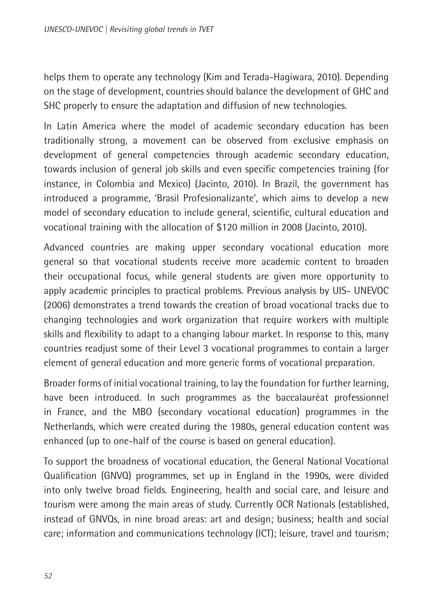helps them to operate any technology (Kim and Terada-Hagiwara, 2010). Depending on the stage of development, countries should balance the development of GHC and SHC properly to ensure the adaptation and diffusion of new technologies.

In Latin America where the model of academic secondary education has been traditionally strong, a movement can be observed from exclusive emphasis on development of general competencies through academic secondary education, towards inclusion of general job skills and even specific competencies training (for instance, in Colombia and Mexico) (Jacinto, 2010). In Brazil, the government has introduced a programme, 'Brasil Profesionalizante', which aims to develop a new model of secondary education to include general, scientific, cultural education and vocational training with the allocation of \$120 million in 2008 (Jacinto, 2010).

Advanced countries are making upper secondary vocational education more general so that vocational students receive more academic content to broaden their occupational focus, while general students are given more opportunity to apply academic principles to practical problems. Previous analysis by UIS- UNEVOC (2006) demonstrates a trend towards the creation of broad vocational tracks due to changing technologies and work organization that require workers with multiple skills and flexibility to adapt to a changing labour market. In response to this, many countries readjust some of their Level 3 vocational programmes to contain a larger element of general education and more generic forms of vocational preparation.

Broader forms of initial vocational training, to lay the foundation for further learning, have been introduced. In such programmes as the baccalauréat professionnel in France, and the MBO (secondary vocational education) programmes in the Netherlands, which were created during the 1980s, general education content was enhanced (up to one-half of the course is based on general education).

To support the broadness of vocational education, the General National Vocational Qualification (GNVQ) programmes, set up in England in the 1990s, were divided into only twelve broad fields. Engineering, health and social care, and leisure and tourism were among the main areas of study. Currently OCR Nationals (established, instead of GNVQs, in nine broad areas: art and design; business; health and social care; information and communications technology (ICT); leisure, travel and tourism;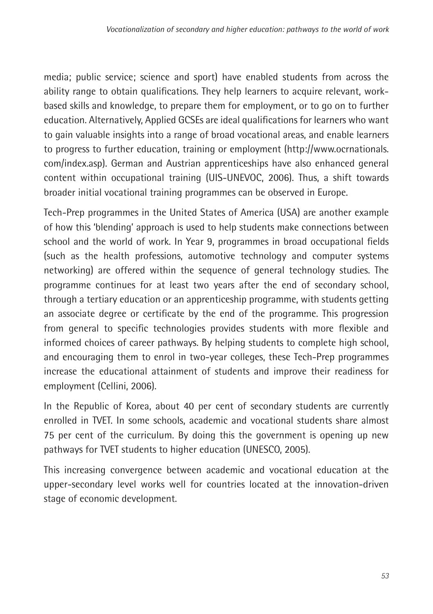media; public service; science and sport) have enabled students from across the ability range to obtain qualifications. They help learners to acquire relevant, workbased skills and knowledge, to prepare them for employment, or to go on to further education. Alternatively, Applied GCSEs are ideal qualifications for learners who want to gain valuable insights into a range of broad vocational areas, and enable learners to progress to further education, training or employment (http://www.ocrnationals. com/index.asp). German and Austrian apprenticeships have also enhanced general content within occupational training (UIS-UNEVOC, 2006). Thus, a shift towards broader initial vocational training programmes can be observed in Europe.

Tech-Prep programmes in the United States of America (USA) are another example of how this 'blending' approach is used to help students make connections between school and the world of work. In Year 9, programmes in broad occupational fields (such as the health professions, automotive technology and computer systems networking) are offered within the sequence of general technology studies. The programme continues for at least two years after the end of secondary school, through a tertiary education or an apprenticeship programme, with students getting an associate degree or certificate by the end of the programme. This progression from general to specific technologies provides students with more flexible and informed choices of career pathways. By helping students to complete high school, and encouraging them to enrol in two-year colleges, these Tech-Prep programmes increase the educational attainment of students and improve their readiness for employment (Cellini, 2006).

In the Republic of Korea, about 40 per cent of secondary students are currently enrolled in TVET. In some schools, academic and vocational students share almost 75 per cent of the curriculum. By doing this the government is opening up new pathways for TVET students to higher education (UNESCO, 2005).

This increasing convergence between academic and vocational education at the upper-secondary level works well for countries located at the innovation-driven stage of economic development.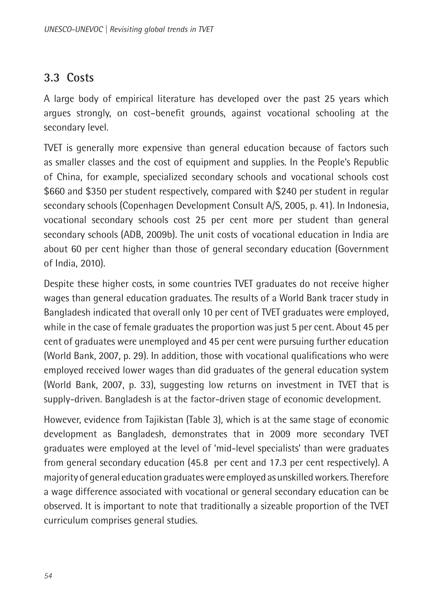#### <span id="page-14-0"></span>**3.3 Costs**

A large body of empirical literature has developed over the past 25 years which argues strongly, on cost–benefit grounds, against vocational schooling at the secondary level.

TVET is generally more expensive than general education because of factors such as smaller classes and the cost of equipment and supplies. In the People's Republic of China, for example, specialized secondary schools and vocational schools cost \$660 and \$350 per student respectively, compared with \$240 per student in regular secondary schools (Copenhagen Development Consult A/S, 2005, p. 41). In Indonesia, vocational secondary schools cost 25 per cent more per student than general secondary schools (ADB, 2009b). The unit costs of vocational education in India are about 60 per cent higher than those of general secondary education (Government of India, 2010).

Despite these higher costs, in some countries TVET graduates do not receive higher wages than general education graduates. The results of a World Bank tracer study in Bangladesh indicated that overall only 10 per cent of TVET graduates were employed, while in the case of female graduates the proportion was just 5 per cent. About 45 per cent of graduates were unemployed and 45 per cent were pursuing further education (World Bank, 2007, p. 29). In addition, those with vocational qualifications who were employed received lower wages than did graduates of the general education system (World Bank, 2007, p. 33), suggesting low returns on investment in TVET that is supply-driven. Bangladesh is at the factor-driven stage of economic development.

However, evidence from Tajikistan (Table 3), which is at the same stage of economic development as Bangladesh, demonstrates that in 2009 more secondary TVET graduates were employed at the level of 'mid-level specialists' than were graduates from general secondary education (45.8 per cent and 17.3 per cent respectively). A majority of general education graduates were employed as unskilled workers. Therefore a wage difference associated with vocational or general secondary education can be observed. It is important to note that traditionally a sizeable proportion of the TVET curriculum comprises general studies.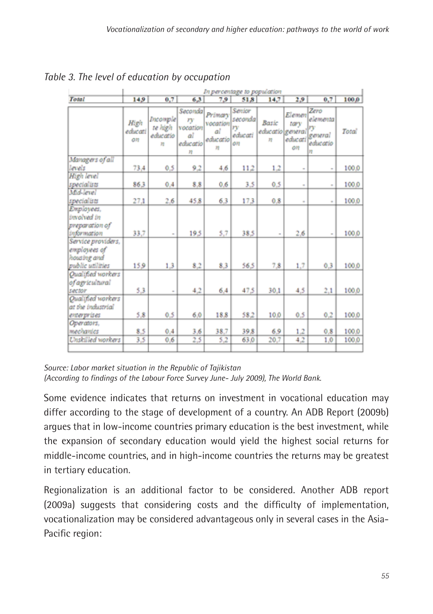|                                                                       | In percentage to population |                                                                                |                                                  |                                             |                                           |                                              |                                 |                                                    |       |
|-----------------------------------------------------------------------|-----------------------------|--------------------------------------------------------------------------------|--------------------------------------------------|---------------------------------------------|-------------------------------------------|----------------------------------------------|---------------------------------|----------------------------------------------------|-------|
| Total                                                                 | 14.9                        | 0.7                                                                            | 6.3                                              | 7.9                                         | 51.8                                      | 14.7                                         | 2,9                             | 0.7                                                | 100.0 |
|                                                                       | High<br>educati<br>on       | <b>Incomple</b><br>te high<br>educatio<br>$\overline{\overline{\overline{a}}}$ | Seconda<br>ry<br>vocation<br>аl<br>educatio<br>n | Primary<br>vocation<br>αî<br>educatio<br>72 | Senior<br>secondal<br>rv<br>educati<br>OR | Basic<br>educatio general<br>$\overline{12}$ | Elemen<br>tary<br>educati<br>ΟĦ | Zero<br>elementa<br>rv<br>geveral<br>educatio<br>Ħ | Total |
| Managers of all                                                       |                             |                                                                                |                                                  |                                             |                                           |                                              |                                 |                                                    |       |
| levels                                                                | 73,4                        | 0.5                                                                            | 9.2                                              | 4,6                                         | 11.2                                      | 1.2                                          |                                 | $\sim$                                             | 100.0 |
| High level                                                            |                             |                                                                                |                                                  |                                             |                                           |                                              |                                 |                                                    |       |
| specialists                                                           | 863                         | 0.4                                                                            | 8.8                                              | 0.6                                         | 3.5                                       | 0.5                                          | $\sim$                          | ÷                                                  | 100.0 |
| Mid-level                                                             |                             |                                                                                |                                                  |                                             |                                           |                                              |                                 |                                                    |       |
| specialists                                                           | 27,1                        | 2.6                                                                            | 45.8                                             | 6.3                                         | 173                                       | 0.8                                          | $\sim$                          | $\sim$                                             | 100.0 |
| Employees,<br>involved in<br>preparation of<br>information            | 33.7                        |                                                                                | 195                                              | 5.7                                         | 38.5                                      |                                              | 2.6                             |                                                    | 100.0 |
| Service providers,<br>employees of<br>housing and<br>public utilities | 15.9                        | 1.3                                                                            | 8,2                                              | 8.3                                         | 56.5                                      | 7.8                                          | 1.7                             | 0.3                                                | 100.0 |
| Qualified workers<br>of agricultural<br>sector                        | 53                          | ×                                                                              | 4,2                                              | 6.4                                         | 47.5                                      | 30.1                                         | 4,5                             | 2,1                                                | 100.0 |
| Qualified workers<br>at the industrial<br>enterprises                 | 5,8                         | 0.5                                                                            | 6,0                                              | 18.8                                        | 58.2                                      | 10,0                                         | 0.5                             | 0.2                                                | 100.0 |
| Operators.<br>mechanics                                               | 8.5                         | 0.4                                                                            | 3.6                                              | 38.7                                        | 39.8                                      | 6.9                                          | 1.2                             | 0.8                                                | 100.0 |
| <b>Unskilled workers</b>                                              | 3,5                         | 0.6                                                                            | 2,5                                              | 5,2                                         | 63.0                                      | 20,7                                         | 4,2                             | 1.0                                                | 100,0 |

#### *Table 3. The level of education by occupation*

*Source: Labor market situation in the Republic of Tajikistan (According to findings of the Labour Force Survey June- July 2009), The World Bank.*

Some evidence indicates that returns on investment in vocational education may differ according to the stage of development of a country. An ADB Report (2009b) argues that in low-income countries primary education is the best investment, while the expansion of secondary education would yield the highest social returns for middle-income countries, and in high-income countries the returns may be greatest in tertiary education.

Regionalization is an additional factor to be considered. Another ADB report (2009a) suggests that considering costs and the difficulty of implementation, vocationalization may be considered advantageous only in several cases in the Asia-Pacific region: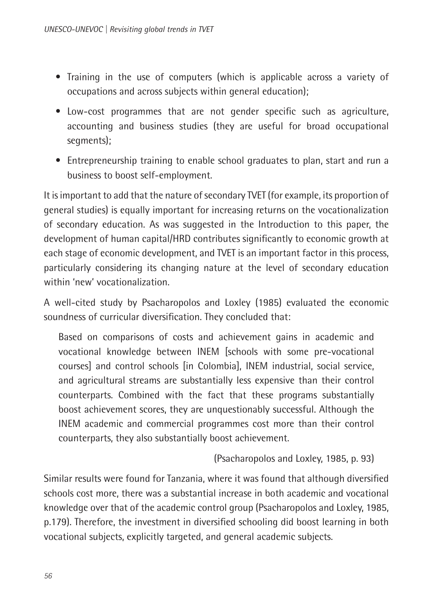- Training in the use of computers (which is applicable across a variety of occupations and across subjects within general education);
- Low-cost programmes that are not gender specific such as agriculture, accounting and business studies (they are useful for broad occupational segments);
- Entrepreneurship training to enable school graduates to plan, start and run a business to boost self-employment.

It is important to add that the nature of secondary TVET (for example, its proportion of general studies) is equally important for increasing returns on the vocationalization of secondary education. As was suggested in the Introduction to this paper, the development of human capital/HRD contributes significantly to economic growth at each stage of economic development, and TVET is an important factor in this process, particularly considering its changing nature at the level of secondary education within 'new' vocationalization.

A well-cited study by Psacharopolos and Loxley (1985) evaluated the economic soundness of curricular diversification. They concluded that:

Based on comparisons of costs and achievement gains in academic and vocational knowledge between INEM [schools with some pre-vocational courses] and control schools [in Colombia], INEM industrial, social service, and agricultural streams are substantially less expensive than their control counterparts. Combined with the fact that these programs substantially boost achievement scores, they are unquestionably successful. Although the INEM academic and commercial programmes cost more than their control counterparts, they also substantially boost achievement.

(Psacharopolos and Loxley, 1985, p. 93)

Similar results were found for Tanzania, where it was found that although diversified schools cost more, there was a substantial increase in both academic and vocational knowledge over that of the academic control group (Psacharopolos and Loxley, 1985, p.179). Therefore, the investment in diversified schooling did boost learning in both vocational subjects, explicitly targeted, and general academic subjects.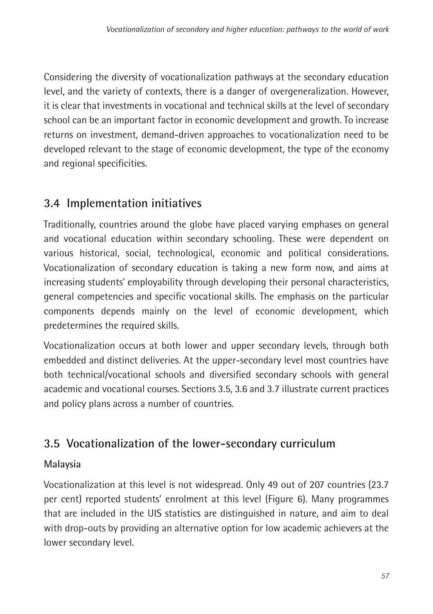<span id="page-17-0"></span>Considering the diversity of vocationalization pathways at the secondary education level, and the variety of contexts, there is a danger of overgeneralization. However, it is clear that investments in vocational and technical skills at the level of secondary school can be an important factor in economic development and growth. To increase returns on investment, demand-driven approaches to vocationalization need to be developed relevant to the stage of economic development, the type of the economy and regional specificities.

## **3.4 Implementation initiatives**

Traditionally, countries around the globe have placed varying emphases on general and vocational education within secondary schooling. These were dependent on various historical, social, technological, economic and political considerations. Vocationalization of secondary education is taking a new form now, and aims at increasing students' employability through developing their personal characteristics, general competencies and specific vocational skills. The emphasis on the particular components depends mainly on the level of economic development, which predetermines the required skills.

Vocationalization occurs at both lower and upper secondary levels, through both embedded and distinct deliveries. At the upper-secondary level most countries have both technical/vocational schools and diversified secondary schools with general academic and vocational courses. Sections 3.5, 3.6 and 3.7 illustrate current practices and policy plans across a number of countries.

## **3.5 Vocationalization of the lower-secondary curriculum**

#### **Malaysia**

Vocationalization at this level is not widespread. Only 49 out of 207 countries (23.7 per cent) reported students' enrolment at this level (Figure 6). Many programmes that are included in the UIS statistics are distinguished in nature, and aim to deal with drop-outs by providing an alternative option for low academic achievers at the lower secondary level.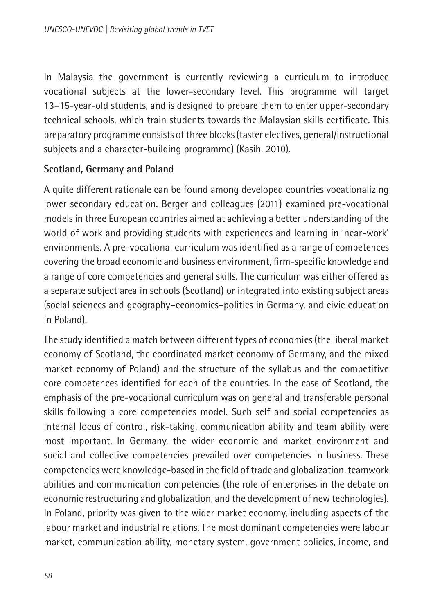In Malaysia the government is currently reviewing a curriculum to introduce vocational subjects at the lower-secondary level. This programme will target 13–15-year-old students, and is designed to prepare them to enter upper-secondary technical schools, which train students towards the Malaysian skills certificate. This preparatory programme consists of three blocks (taster electives, general/instructional subjects and a character-building programme) (Kasih, 2010).

#### **Scotland, Germany and Poland**

A quite different rationale can be found among developed countries vocationalizing lower secondary education. Berger and colleagues (2011) examined pre-vocational models in three European countries aimed at achieving a better understanding of the world of work and providing students with experiences and learning in 'near-work' environments. A pre-vocational curriculum was identified as a range of competences covering the broad economic and business environment, firm-specific knowledge and a range of core competencies and general skills. The curriculum was either offered as a separate subject area in schools (Scotland) or integrated into existing subject areas (social sciences and geography–economics–politics in Germany, and civic education in Poland).

The study identified a match between different types of economies (the liberal market economy of Scotland, the coordinated market economy of Germany, and the mixed market economy of Poland) and the structure of the syllabus and the competitive core competences identified for each of the countries. In the case of Scotland, the emphasis of the pre-vocational curriculum was on general and transferable personal skills following a core competencies model. Such self and social competencies as internal locus of control, risk-taking, communication ability and team ability were most important. In Germany, the wider economic and market environment and social and collective competencies prevailed over competencies in business. These competencies were knowledge-based in the field of trade and globalization, teamwork abilities and communication competencies (the role of enterprises in the debate on economic restructuring and globalization, and the development of new technologies). In Poland, priority was given to the wider market economy, including aspects of the labour market and industrial relations. The most dominant competencies were labour market, communication ability, monetary system, government policies, income, and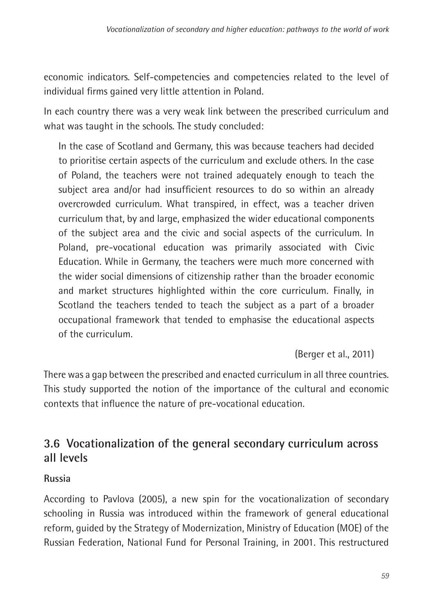<span id="page-19-0"></span>economic indicators. Self-competencies and competencies related to the level of individual firms gained very little attention in Poland.

In each country there was a very weak link between the prescribed curriculum and what was taught in the schools. The study concluded:

In the case of Scotland and Germany, this was because teachers had decided to prioritise certain aspects of the curriculum and exclude others. In the case of Poland, the teachers were not trained adequately enough to teach the subject area and/or had insufficient resources to do so within an already overcrowded curriculum. What transpired, in effect, was a teacher driven curriculum that, by and large, emphasized the wider educational components of the subject area and the civic and social aspects of the curriculum. In Poland, pre-vocational education was primarily associated with Civic Education. While in Germany, the teachers were much more concerned with the wider social dimensions of citizenship rather than the broader economic and market structures highlighted within the core curriculum. Finally, in Scotland the teachers tended to teach the subject as a part of a broader occupational framework that tended to emphasise the educational aspects of the curriculum.

(Berger et al., 2011)

There was a gap between the prescribed and enacted curriculum in all three countries. This study supported the notion of the importance of the cultural and economic contexts that influence the nature of pre-vocational education.

### **3.6 Vocationalization of the general secondary curriculum across all levels**

#### **Russia**

According to Pavlova (2005), a new spin for the vocationalization of secondary schooling in Russia was introduced within the framework of general educational reform, guided by the Strategy of Modernization, Ministry of Education (MOE) of the Russian Federation, National Fund for Personal Training, in 2001. This restructured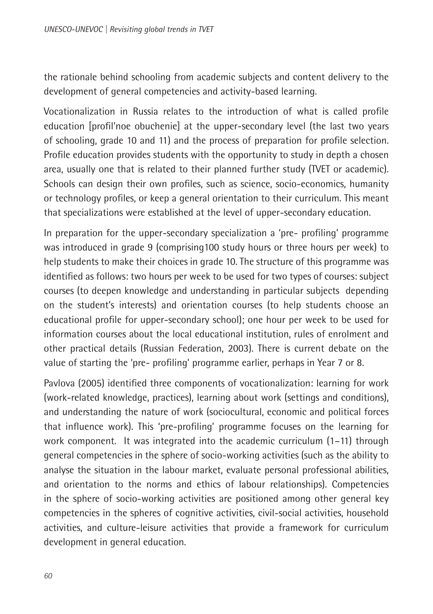the rationale behind schooling from academic subjects and content delivery to the development of general competencies and activity-based learning.

Vocationalization in Russia relates to the introduction of what is called profile education [profil'noe obuchenie] at the upper-secondary level (the last two years of schooling, grade 10 and 11) and the process of preparation for profile selection. Profile education provides students with the opportunity to study in depth a chosen area, usually one that is related to their planned further study (TVET or academic). Schools can design their own profiles, such as science, socio-economics, humanity or technology profiles, or keep a general orientation to their curriculum. This meant that specializations were established at the level of upper-secondary education.

In preparation for the upper-secondary specialization a 'pre- profiling' programme was introduced in grade 9 (comprising100 study hours or three hours per week) to help students to make their choices in grade 10. The structure of this programme was identified as follows: two hours per week to be used for two types of courses: subject courses (to deepen knowledge and understanding in particular subjects depending on the student's interests) and orientation courses (to help students choose an educational profile for upper-secondary school); one hour per week to be used for information courses about the local educational institution, rules of enrolment and other practical details (Russian Federation, 2003). There is current debate on the value of starting the 'pre- profiling' programme earlier, perhaps in Year 7 or 8.

Pavlova (2005) identified three components of vocationalization: learning for work (work-related knowledge, practices), learning about work (settings and conditions), and understanding the nature of work (sociocultural, economic and political forces that influence work). This 'pre-profiling' programme focuses on the learning for work component. It was integrated into the academic curriculum (1–11) through general competencies in the sphere of socio-working activities (such as the ability to analyse the situation in the labour market, evaluate personal professional abilities, and orientation to the norms and ethics of labour relationships). Competencies in the sphere of socio-working activities are positioned among other general key competencies in the spheres of cognitive activities, civil-social activities, household activities, and culture-leisure activities that provide a framework for curriculum development in general education.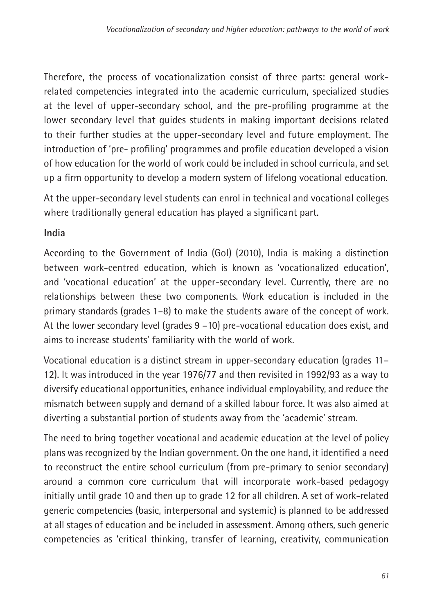Therefore, the process of vocationalization consist of three parts: general workrelated competencies integrated into the academic curriculum, specialized studies at the level of upper-secondary school, and the pre-profiling programme at the lower secondary level that guides students in making important decisions related to their further studies at the upper-secondary level and future employment. The introduction of 'pre- profiling' programmes and profile education developed a vision of how education for the world of work could be included in school curricula, and set up a firm opportunity to develop a modern system of lifelong vocational education.

At the upper-secondary level students can enrol in technical and vocational colleges where traditionally general education has played a significant part.

#### **India**

According to the Government of India (GoI) (2010), India is making a distinction between work-centred education, which is known as 'vocationalized education', and 'vocational education' at the upper-secondary level. Currently, there are no relationships between these two components. Work education is included in the primary standards (grades 1–8) to make the students aware of the concept of work. At the lower secondary level (grades 9 –10) pre-vocational education does exist, and aims to increase students' familiarity with the world of work.

Vocational education is a distinct stream in upper-secondary education (grades 11– 12). It was introduced in the year 1976/77 and then revisited in 1992/93 as a way to diversify educational opportunities, enhance individual employability, and reduce the mismatch between supply and demand of a skilled labour force. It was also aimed at diverting a substantial portion of students away from the 'academic' stream.

The need to bring together vocational and academic education at the level of policy plans was recognized by the Indian government. On the one hand, it identified a need to reconstruct the entire school curriculum (from pre-primary to senior secondary) around a common core curriculum that will incorporate work-based pedagogy initially until grade 10 and then up to grade 12 for all children. A set of work-related generic competencies (basic, interpersonal and systemic) is planned to be addressed at all stages of education and be included in assessment. Among others, such generic competencies as 'critical thinking, transfer of learning, creativity, communication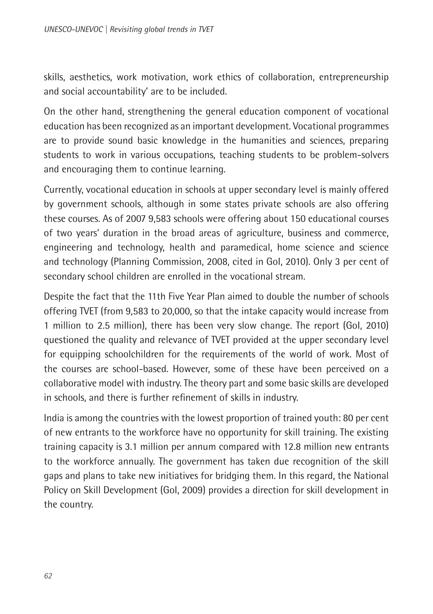skills, aesthetics, work motivation, work ethics of collaboration, entrepreneurship and social accountability' are to be included.

On the other hand, strengthening the general education component of vocational education has been recognized as an important development. Vocational programmes are to provide sound basic knowledge in the humanities and sciences, preparing students to work in various occupations, teaching students to be problem-solvers and encouraging them to continue learning.

Currently, vocational education in schools at upper secondary level is mainly offered by government schools, although in some states private schools are also offering these courses. As of 2007 9,583 schools were offering about 150 educational courses of two years' duration in the broad areas of agriculture, business and commerce, engineering and technology, health and paramedical, home science and science and technology (Planning Commission, 2008, cited in GoI, 2010). Only 3 per cent of secondary school children are enrolled in the vocational stream.

Despite the fact that the 11th Five Year Plan aimed to double the number of schools offering TVET (from 9,583 to 20,000, so that the intake capacity would increase from 1 million to 2.5 million), there has been very slow change. The report (GoI, 2010) questioned the quality and relevance of TVET provided at the upper secondary level for equipping schoolchildren for the requirements of the world of work. Most of the courses are school-based. However, some of these have been perceived on a collaborative model with industry. The theory part and some basic skills are developed in schools, and there is further refinement of skills in industry.

India is among the countries with the lowest proportion of trained youth: 80 per cent of new entrants to the workforce have no opportunity for skill training. The existing training capacity is 3.1 million per annum compared with 12.8 million new entrants to the workforce annually. The government has taken due recognition of the skill gaps and plans to take new initiatives for bridging them. In this regard, the National Policy on Skill Development (GoI, 2009) provides a direction for skill development in the country.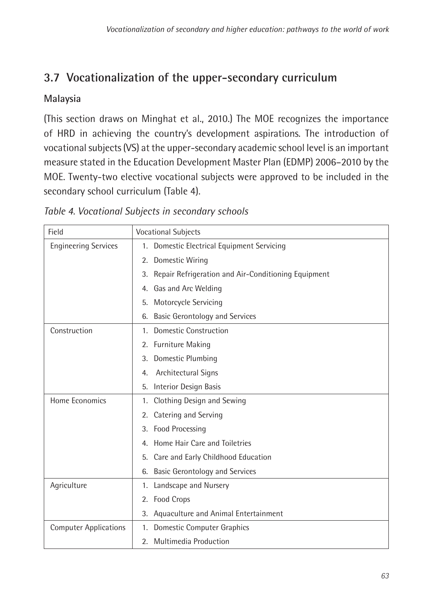## <span id="page-23-0"></span>**3.7 Vocationalization of the upper-secondary curriculum**

#### **Malaysia**

(This section draws on Minghat et al., 2010.) The MOE recognizes the importance of HRD in achieving the country's development aspirations. The introduction of vocational subjects (VS) at the upper-secondary academic school level is an important measure stated in the Education Development Master Plan (EDMP) 2006–2010 by the MOE. Twenty-two elective vocational subjects were approved to be included in the secondary school curriculum (Table 4).

| Table 4. Vocational Subjects in secondary schools |  |
|---------------------------------------------------|--|
|---------------------------------------------------|--|

| Field                        | <b>Vocational Subjects</b>                             |
|------------------------------|--------------------------------------------------------|
| <b>Engineering Services</b>  | 1. Domestic Electrical Equipment Servicing             |
|                              | 2. Domestic Wiring                                     |
|                              | 3. Repair Refrigeration and Air-Conditioning Equipment |
|                              | 4. Gas and Arc Welding                                 |
|                              | Motorcycle Servicing<br>5.                             |
|                              | <b>Basic Gerontology and Services</b><br>6.            |
| Construction                 | 1. Domestic Construction                               |
|                              | 2. Furniture Making                                    |
|                              | Domestic Plumbing<br>3.                                |
|                              | Architectural Signs<br>4.                              |
|                              | Interior Design Basis<br>5.                            |
| Home Fconomics               | Clothing Design and Sewing<br>1.                       |
|                              | Catering and Serving<br>2.                             |
|                              | Food Processing<br>3.                                  |
|                              | 4. Home Hair Care and Toiletries                       |
|                              | Care and Early Childhood Education<br>5.               |
|                              | 6. Basic Gerontology and Services                      |
| Agriculture                  | 1. Landscape and Nursery                               |
|                              | 2. Food Crops                                          |
|                              | Aquaculture and Animal Entertainment<br>3.             |
| <b>Computer Applications</b> | 1. Domestic Computer Graphics                          |
|                              | Multimedia Production<br>2.                            |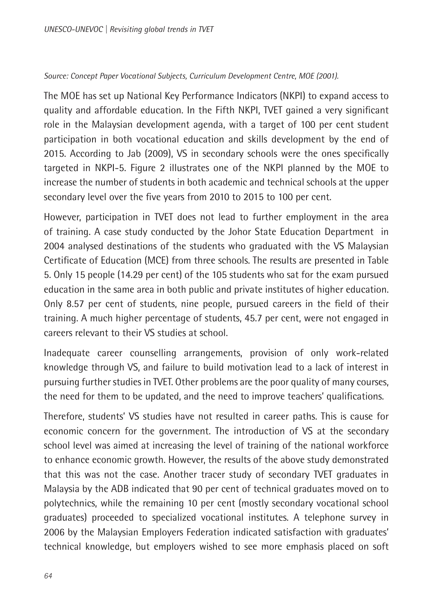#### *Source: Concept Paper Vocational Subjects, Curriculum Development Centre, MOE (2001).*

The MOE has set up National Key Performance Indicators (NKPI) to expand access to quality and affordable education. In the Fifth NKPI, TVET gained a very significant role in the Malaysian development agenda, with a target of 100 per cent student participation in both vocational education and skills development by the end of 2015. According to Jab (2009), VS in secondary schools were the ones specifically targeted in NKPI-5. Figure 2 illustrates one of the NKPI planned by the MOE to increase the number of students in both academic and technical schools at the upper secondary level over the five years from 2010 to 2015 to 100 per cent.

However, participation in TVET does not lead to further employment in the area of training. A case study conducted by the Johor State Education Department in 2004 analysed destinations of the students who graduated with the VS Malaysian Certificate of Education (MCE) from three schools. The results are presented in Table 5. Only 15 people (14.29 per cent) of the 105 students who sat for the exam pursued education in the same area in both public and private institutes of higher education. Only 8.57 per cent of students, nine people, pursued careers in the field of their training. A much higher percentage of students, 45.7 per cent, were not engaged in careers relevant to their VS studies at school.

Inadequate career counselling arrangements, provision of only work-related knowledge through VS, and failure to build motivation lead to a lack of interest in pursuing further studies in TVET. Other problems are the poor quality of many courses, the need for them to be updated, and the need to improve teachers' qualifications.

Therefore, students' VS studies have not resulted in career paths. This is cause for economic concern for the government. The introduction of VS at the secondary school level was aimed at increasing the level of training of the national workforce to enhance economic growth. However, the results of the above study demonstrated that this was not the case. Another tracer study of secondary TVET graduates in Malaysia by the ADB indicated that 90 per cent of technical graduates moved on to polytechnics, while the remaining 10 per cent (mostly secondary vocational school graduates) proceeded to specialized vocational institutes. A telephone survey in 2006 by the Malaysian Employers Federation indicated satisfaction with graduates' technical knowledge, but employers wished to see more emphasis placed on soft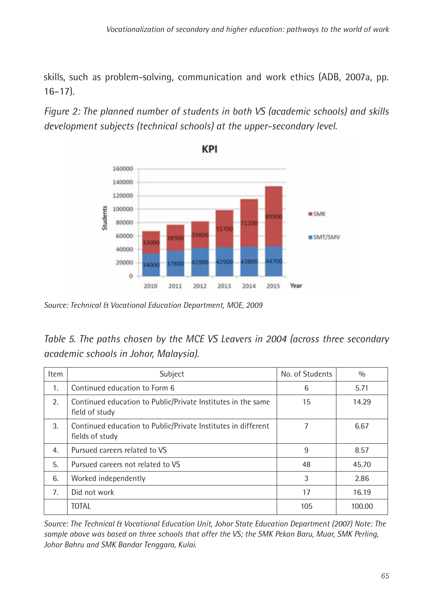skills, such as problem-solving, communication and work ethics (ADB, 2007a, pp. 16–17).

*Figure 2: The planned number of students in both VS (academic schools) and skills development subjects (technical schools) at the upper-secondary level.*



KPI

*Source: Technical & Vocational Education Department, MOE, 2009*

| Table 5. The paths chosen by the MCE VS Leavers in 2004 (across three secondary |  |
|---------------------------------------------------------------------------------|--|
| academic schools in Johor, Malaysia).                                           |  |

| <b>Item</b> | Subject                                                                          | No. of Students | 0/0    |
|-------------|----------------------------------------------------------------------------------|-----------------|--------|
| 1.          | Continued education to Form 6                                                    | 6               | 5.71   |
| 2.          | Continued education to Public/Private Institutes in the same<br>field of study   | 15              | 14.29  |
| 3.          | Continued education to Public/Private Institutes in different<br>fields of study |                 | 6.67   |
| 4.          | Pursued careers related to VS                                                    | 9               | 8.57   |
| 5.          | Pursued careers not related to VS                                                | 48              | 45.70  |
| 6.          | Worked independently                                                             | 3               | 2.86   |
| 7.          | Did not work                                                                     | 17              | 16.19  |
|             | <b>TOTAL</b>                                                                     | 105             | 100.00 |

*Source: The Technical & Vocational Education Unit, Johor State Education Department (2007) Note: The sample above was based on three schools that offer the VS; the SMK Pekan Baru, Muar, SMK Perling, Johor Bahru and SMK Bandar Tenggara, Kulai.*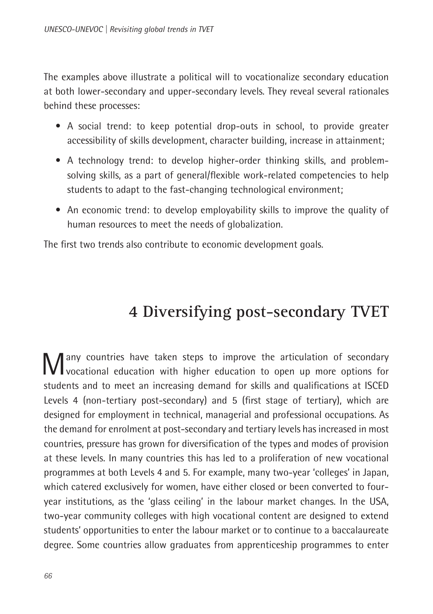<span id="page-26-0"></span>The examples above illustrate a political will to vocationalize secondary education at both lower-secondary and upper-secondary levels. They reveal several rationales behind these processes:

- A social trend: to keep potential drop-outs in school, to provide greater accessibility of skills development, character building, increase in attainment;
- A technology trend: to develop higher-order thinking skills, and problemsolving skills, as a part of general/flexible work-related competencies to help students to adapt to the fast-changing technological environment;
- An economic trend: to develop employability skills to improve the quality of human resources to meet the needs of globalization.

The first two trends also contribute to economic development goals.

# **4 Diversifying post-secondary TVET**

Many countries have taken steps to improve the articulation of secondary vocational education with higher education to open up more options for students and to meet an increasing demand for skills and qualifications at ISCED Levels 4 (non-tertiary post-secondary) and 5 (first stage of tertiary), which are designed for employment in technical, managerial and professional occupations. As the demand for enrolment at post-secondary and tertiary levels has increased in most countries, pressure has grown for diversification of the types and modes of provision at these levels. In many countries this has led to a proliferation of new vocational programmes at both Levels 4 and 5. For example, many two-year 'colleges' in Japan, which catered exclusively for women, have either closed or been converted to fouryear institutions, as the 'glass ceiling' in the labour market changes. In the USA, two-year community colleges with high vocational content are designed to extend students' opportunities to enter the labour market or to continue to a baccalaureate degree. Some countries allow graduates from apprenticeship programmes to enter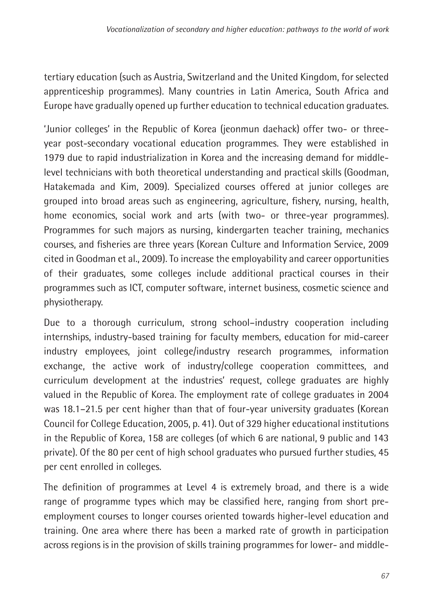tertiary education (such as Austria, Switzerland and the United Kingdom, for selected apprenticeship programmes). Many countries in Latin America, South Africa and Europe have gradually opened up further education to technical education graduates.

'Junior colleges' in the Republic of Korea (jeonmun daehack) offer two- or threeyear post-secondary vocational education programmes. They were established in 1979 due to rapid industrialization in Korea and the increasing demand for middlelevel technicians with both theoretical understanding and practical skills (Goodman, Hatakemada and Kim, 2009). Specialized courses offered at junior colleges are grouped into broad areas such as engineering, agriculture, fishery, nursing, health, home economics, social work and arts (with two- or three-year programmes). Programmes for such majors as nursing, kindergarten teacher training, mechanics courses, and fisheries are three years (Korean Culture and Information Service, 2009 cited in Goodman et al., 2009). To increase the employability and career opportunities of their graduates, some colleges include additional practical courses in their programmes such as ICT, computer software, internet business, cosmetic science and physiotherapy.

Due to a thorough curriculum, strong school–industry cooperation including internships, industry-based training for faculty members, education for mid-career industry employees, joint college/industry research programmes, information exchange, the active work of industry/college cooperation committees, and curriculum development at the industries' request, college graduates are highly valued in the Republic of Korea. The employment rate of college graduates in 2004 was 18.1–21.5 per cent higher than that of four-year university graduates (Korean Council for College Education, 2005, p. 41). Out of 329 higher educational institutions in the Republic of Korea, 158 are colleges (of which 6 are national, 9 public and 143 private). Of the 80 per cent of high school graduates who pursued further studies, 45 per cent enrolled in colleges.

The definition of programmes at Level 4 is extremely broad, and there is a wide range of programme types which may be classified here, ranging from short preemployment courses to longer courses oriented towards higher-level education and training. One area where there has been a marked rate of growth in participation across regions is in the provision of skills training programmes for lower- and middle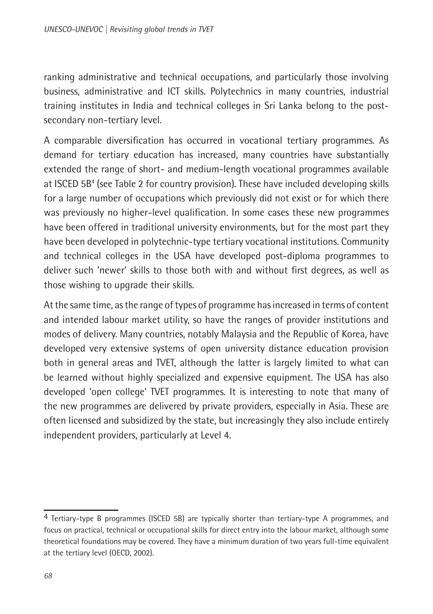<span id="page-28-0"></span>ranking administrative and technical occupations, and particularly those involving business, administrative and ICT skills. Polytechnics in many countries, industrial training institutes in India and technical colleges in Sri Lanka belong to the postsecondary non-tertiary level.

A comparable diversification has occurred in vocational tertiary programmes. As demand for tertiary education has increased, many countries have substantially extended the range of short- and medium-length vocational programmes available at ISCED 5B<sup>4</sup> (see Table 2 for country provision). These have included developing skills for a large number of occupations which previously did not exist or for which there was previously no higher-level qualification. In some cases these new programmes have been offered in traditional university environments, but for the most part they have been developed in polytechnic-type tertiary vocational institutions. Community and technical colleges in the USA have developed post-diploma programmes to deliver such 'newer' skills to those both with and without first degrees, as well as those wishing to upgrade their skills.

At the same time, as the range of types of programme has increased in terms of content and intended labour market utility, so have the ranges of provider institutions and modes of delivery. Many countries, notably Malaysia and the Republic of Korea, have developed very extensive systems of open university distance education provision both in general areas and TVET, although the latter is largely limited to what can be learned without highly specialized and expensive equipment. The USA has also developed 'open college' TVET programmes. It is interesting to note that many of the new programmes are delivered by private providers, especially in Asia. These are often licensed and subsidized by the state, but increasingly they also include entirely independent providers, particularly at Level 4.

<sup>4</sup> Tertiary-type B programmes (ISCED 5B) are typically shorter than tertiary-type A programmes, and focus on practical, technical or occupational skills for direct entry into the labour market, although some theoretical foundations may be covered. They have a minimum duration of two years full-time equivalent at the tertiary level (OECD, 2002).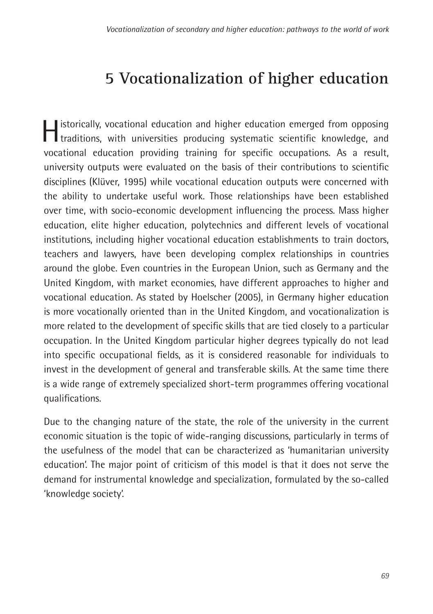# **5 Vocationalization of higher education**

**I** istorically, vocational education and higher education emerged from opposing traditions, with universities producing systematic scientific knowledge, and vocational education providing training for specific occupations. As a result, university outputs were evaluated on the basis of their contributions to scientific disciplines (Klüver, 1995) while vocational education outputs were concerned with the ability to undertake useful work. Those relationships have been established over time, with socio-economic development influencing the process. Mass higher education, elite higher education, polytechnics and different levels of vocational institutions, including higher vocational education establishments to train doctors, teachers and lawyers, have been developing complex relationships in countries around the globe. Even countries in the European Union, such as Germany and the United Kingdom, with market economies, have different approaches to higher and vocational education. As stated by Hoelscher (2005), in Germany higher education is more vocationally oriented than in the United Kingdom, and vocationalization is more related to the development of specific skills that are tied closely to a particular occupation. In the United Kingdom particular higher degrees typically do not lead into specific occupational fields, as it is considered reasonable for individuals to invest in the development of general and transferable skills. At the same time there is a wide range of extremely specialized short-term programmes offering vocational qualifications.

Due to the changing nature of the state, the role of the university in the current economic situation is the topic of wide-ranging discussions, particularly in terms of the usefulness of the model that can be characterized as 'humanitarian university education'. The major point of criticism of this model is that it does not serve the demand for instrumental knowledge and specialization, formulated by the so-called 'knowledge society'.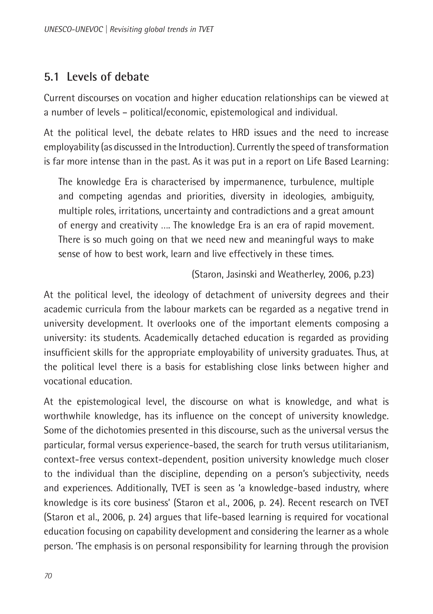### <span id="page-30-0"></span>**5.1 Levels of debate**

Current discourses on vocation and higher education relationships can be viewed at a number of levels – political/economic, epistemological and individual.

At the political level, the debate relates to HRD issues and the need to increase employability (as discussed in the Introduction). Currently the speed of transformation is far more intense than in the past. As it was put in a report on Life Based Learning:

The knowledge Era is characterised by impermanence, turbulence, multiple and competing agendas and priorities, diversity in ideologies, ambiguity, multiple roles, irritations, uncertainty and contradictions and a great amount of energy and creativity …. The knowledge Era is an era of rapid movement. There is so much going on that we need new and meaningful ways to make sense of how to best work, learn and live effectively in these times.

(Staron, Jasinski and Weatherley, 2006, p.23)

At the political level, the ideology of detachment of university degrees and their academic curricula from the labour markets can be regarded as a negative trend in university development. It overlooks one of the important elements composing a university: its students. Academically detached education is regarded as providing insufficient skills for the appropriate employability of university graduates. Thus, at the political level there is a basis for establishing close links between higher and vocational education.

At the epistemological level, the discourse on what is knowledge, and what is worthwhile knowledge, has its influence on the concept of university knowledge. Some of the dichotomies presented in this discourse, such as the universal versus the particular, formal versus experience-based, the search for truth versus utilitarianism, context-free versus context-dependent, position university knowledge much closer to the individual than the discipline, depending on a person's subjectivity, needs and experiences. Additionally, TVET is seen as 'a knowledge-based industry, where knowledge is its core business' (Staron et al., 2006, p. 24). Recent research on TVET (Staron et al., 2006, p. 24) argues that life-based learning is required for vocational education focusing on capability development and considering the learner as a whole person. 'The emphasis is on personal responsibility for learning through the provision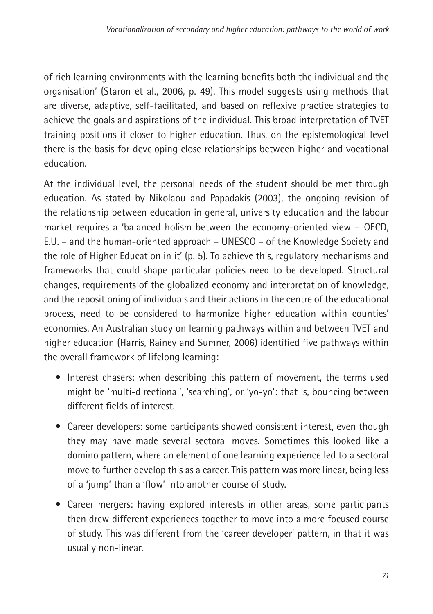of rich learning environments with the learning benefits both the individual and the organisation' (Staron et al., 2006, p. 49). This model suggests using methods that are diverse, adaptive, self-facilitated, and based on reflexive practice strategies to achieve the goals and aspirations of the individual. This broad interpretation of TVET training positions it closer to higher education. Thus, on the epistemological level there is the basis for developing close relationships between higher and vocational education.

At the individual level, the personal needs of the student should be met through education. As stated by Nikolaou and Papadakis (2003), the ongoing revision of the relationship between education in general, university education and the labour market requires a 'balanced holism between the economy-oriented view – OECD, E.U. – and the human-oriented approach – UNESCO – of the Knowledge Society and the role of Higher Education in it' (p. 5). To achieve this, regulatory mechanisms and frameworks that could shape particular policies need to be developed. Structural changes, requirements of the globalized economy and interpretation of knowledge, and the repositioning of individuals and their actions in the centre of the educational process, need to be considered to harmonize higher education within counties' economies. An Australian study on learning pathways within and between TVET and higher education (Harris, Rainey and Sumner, 2006) identified five pathways within the overall framework of lifelong learning:

- Interest chasers: when describing this pattern of movement, the terms used might be 'multi-directional', 'searching', or 'yo-yo': that is, bouncing between different fields of interest.
- Career developers: some participants showed consistent interest, even though they may have made several sectoral moves. Sometimes this looked like a domino pattern, where an element of one learning experience led to a sectoral move to further develop this as a career. This pattern was more linear, being less of a 'jump' than a 'flow' into another course of study.
- Career mergers: having explored interests in other areas, some participants then drew different experiences together to move into a more focused course of study. This was different from the 'career developer' pattern, in that it was usually non-linear.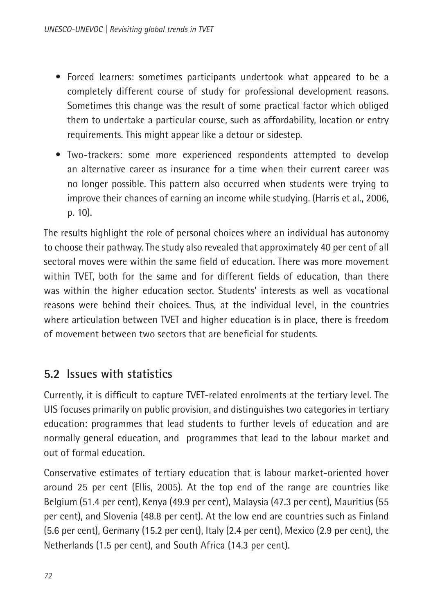- <span id="page-32-0"></span>• Forced learners: sometimes participants undertook what appeared to be a completely different course of study for professional development reasons. Sometimes this change was the result of some practical factor which obliged them to undertake a particular course, such as affordability, location or entry requirements. This might appear like a detour or sidestep.
- Two-trackers: some more experienced respondents attempted to develop an alternative career as insurance for a time when their current career was no longer possible. This pattern also occurred when students were trying to improve their chances of earning an income while studying. (Harris et al., 2006, p. 10).

The results highlight the role of personal choices where an individual has autonomy to choose their pathway. The study also revealed that approximately 40 per cent of all sectoral moves were within the same field of education. There was more movement within TVET, both for the same and for different fields of education, than there was within the higher education sector. Students' interests as well as vocational reasons were behind their choices. Thus, at the individual level, in the countries where articulation between TVET and higher education is in place, there is freedom of movement between two sectors that are beneficial for students.

### **5.2 Issues with statistics**

Currently, it is difficult to capture TVET-related enrolments at the tertiary level. The UIS focuses primarily on public provision, and distinguishes two categories in tertiary education: programmes that lead students to further levels of education and are normally general education, and programmes that lead to the labour market and out of formal education.

Conservative estimates of tertiary education that is labour market-oriented hover around 25 per cent (Ellis, 2005). At the top end of the range are countries like Belgium (51.4 per cent), Kenya (49.9 per cent), Malaysia (47.3 per cent), Mauritius (55 per cent), and Slovenia (48.8 per cent). At the low end are countries such as Finland (5.6 per cent), Germany (15.2 per cent), Italy (2.4 per cent), Mexico (2.9 per cent), the Netherlands (1.5 per cent), and South Africa (14.3 per cent).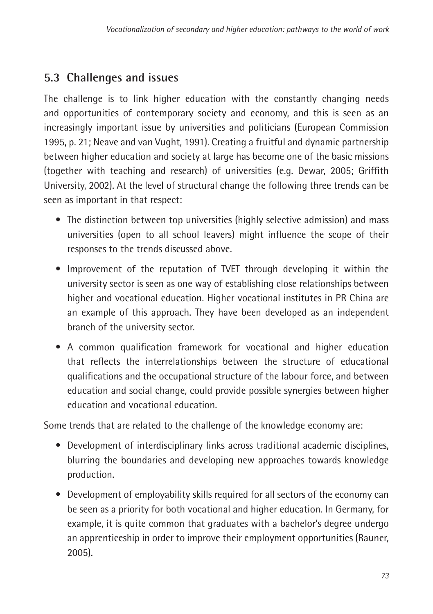### <span id="page-33-0"></span>**5.3 Challenges and issues**

The challenge is to link higher education with the constantly changing needs and opportunities of contemporary society and economy, and this is seen as an increasingly important issue by universities and politicians (European Commission 1995, p. 21; Neave and van Vught, 1991). Creating a fruitful and dynamic partnership between higher education and society at large has become one of the basic missions (together with teaching and research) of universities (e.g. Dewar, 2005; Griffith University, 2002). At the level of structural change the following three trends can be seen as important in that respect:

- The distinction between top universities (highly selective admission) and mass universities (open to all school leavers) might influence the scope of their responses to the trends discussed above.
- Improvement of the reputation of TVET through developing it within the university sector is seen as one way of establishing close relationships between higher and vocational education. Higher vocational institutes in PR China are an example of this approach. They have been developed as an independent branch of the university sector.
- A common qualification framework for vocational and higher education that reflects the interrelationships between the structure of educational qualifications and the occupational structure of the labour force, and between education and social change, could provide possible synergies between higher education and vocational education.

Some trends that are related to the challenge of the knowledge economy are:

- Development of interdisciplinary links across traditional academic disciplines, blurring the boundaries and developing new approaches towards knowledge production.
- Development of employability skills required for all sectors of the economy can be seen as a priority for both vocational and higher education. In Germany, for example, it is quite common that graduates with a bachelor's degree undergo an apprenticeship in order to improve their employment opportunities (Rauner, 2005).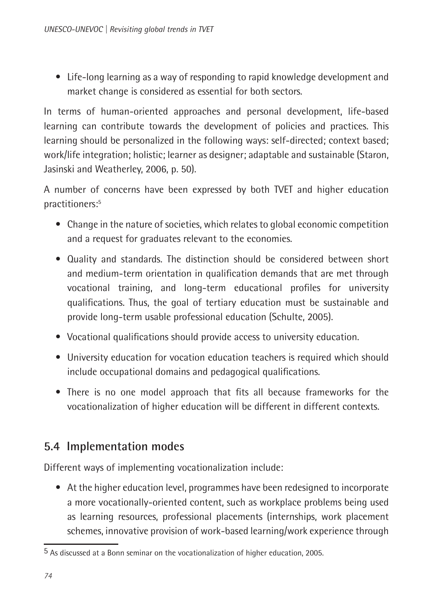<span id="page-34-0"></span>• Life-long learning as a way of responding to rapid knowledge development and market change is considered as essential for both sectors.

In terms of human-oriented approaches and personal development, life-based learning can contribute towards the development of policies and practices. This learning should be personalized in the following ways: self-directed; context based; work/life integration; holistic; learner as designer; adaptable and sustainable (Staron, Jasinski and Weatherley, 2006, p. 50).

A number of concerns have been expressed by both TVET and higher education practitioners:5

- Change in the nature of societies, which relates to global economic competition and a request for graduates relevant to the economies.
- Quality and standards. The distinction should be considered between short and medium-term orientation in qualification demands that are met through vocational training, and long-term educational profiles for university qualifications. Thus, the goal of tertiary education must be sustainable and provide long-term usable professional education (Schulte, 2005).
- Vocational qualifications should provide access to university education.
- University education for vocation education teachers is required which should include occupational domains and pedagogical qualifications.
- There is no one model approach that fits all because frameworks for the vocationalization of higher education will be different in different contexts.

### **5.4 Implementation modes**

Different ways of implementing vocationalization include:

• At the higher education level, programmes have been redesigned to incorporate a more vocationally-oriented content, such as workplace problems being used as learning resources, professional placements (internships, work placement schemes, innovative provision of work-based learning/work experience through

<sup>5</sup> As discussed at a Bonn seminar on the vocationalization of higher education, 2005.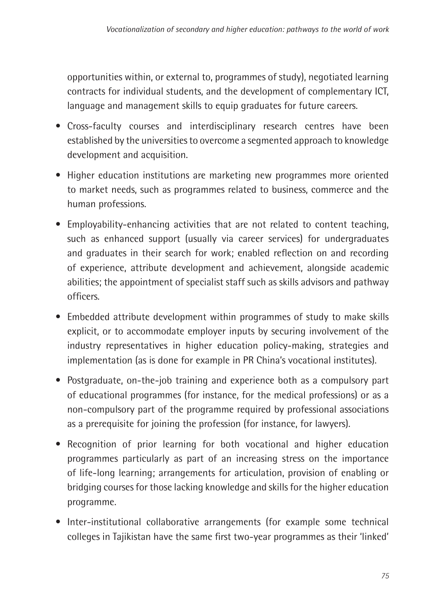opportunities within, or external to, programmes of study), negotiated learning contracts for individual students, and the development of complementary ICT, language and management skills to equip graduates for future careers.

- Cross-faculty courses and interdisciplinary research centres have been established by the universities to overcome a segmented approach to knowledge development and acquisition.
- Higher education institutions are marketing new programmes more oriented to market needs, such as programmes related to business, commerce and the human professions.
- Employability-enhancing activities that are not related to content teaching, such as enhanced support (usually via career services) for undergraduates and graduates in their search for work; enabled reflection on and recording of experience, attribute development and achievement, alongside academic abilities; the appointment of specialist staff such as skills advisors and pathway officers.
- Embedded attribute development within programmes of study to make skills explicit, or to accommodate employer inputs by securing involvement of the industry representatives in higher education policy-making, strategies and implementation (as is done for example in PR China's vocational institutes).
- Postgraduate, on-the-job training and experience both as a compulsory part of educational programmes (for instance, for the medical professions) or as a non-compulsory part of the programme required by professional associations as a prerequisite for joining the profession (for instance, for lawyers).
- Recognition of prior learning for both vocational and higher education programmes particularly as part of an increasing stress on the importance of life-long learning; arrangements for articulation, provision of enabling or bridging courses for those lacking knowledge and skills for the higher education programme.
- Inter-institutional collaborative arrangements (for example some technical colleges in Tajikistan have the same first two-year programmes as their 'linked'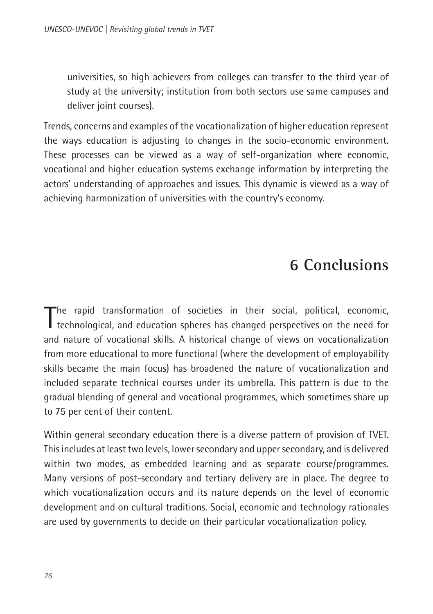<span id="page-36-0"></span>universities, so high achievers from colleges can transfer to the third year of study at the university; institution from both sectors use same campuses and deliver joint courses).

Trends, concerns and examples of the vocationalization of higher education represent the ways education is adjusting to changes in the socio-economic environment. These processes can be viewed as a way of self-organization where economic, vocational and higher education systems exchange information by interpreting the actors' understanding of approaches and issues. This dynamic is viewed as a way of achieving harmonization of universities with the country's economy.

## **6 Conclusions**

The rapid transformation of societies in their social, political, economic, technological, and education spheres has changed perspectives on the need for The rapid transformation of societies in their social, political, economic, and nature of vocational skills. A historical change of views on vocationalization from more educational to more functional (where the development of employability skills became the main focus) has broadened the nature of vocationalization and included separate technical courses under its umbrella. This pattern is due to the gradual blending of general and vocational programmes, which sometimes share up to 75 per cent of their content.

Within general secondary education there is a diverse pattern of provision of TVET. This includes at least two levels, lower secondary and upper secondary, and is delivered within two modes, as embedded learning and as separate course/programmes. Many versions of post-secondary and tertiary delivery are in place. The degree to which vocationalization occurs and its nature depends on the level of economic development and on cultural traditions. Social, economic and technology rationales are used by governments to decide on their particular vocationalization policy.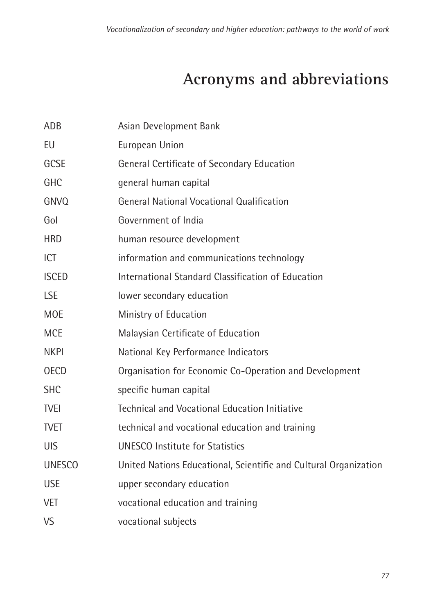# **Acronyms and abbreviations**

<span id="page-37-0"></span>

| ADB           | Asian Development Bank                                           |
|---------------|------------------------------------------------------------------|
| EU            | European Union                                                   |
| GCSE          | General Certificate of Secondary Education                       |
| GHC           | general human capital                                            |
| <b>GNVO</b>   | <b>General National Vocational Qualification</b>                 |
| Gol           | Government of India                                              |
| <b>HRD</b>    | human resource development                                       |
| ICT           | information and communications technology                        |
| <b>ISCED</b>  | International Standard Classification of Education               |
| <b>LSE</b>    | lower secondary education                                        |
| <b>MOE</b>    | Ministry of Education                                            |
| <b>MCE</b>    | Malaysian Certificate of Education                               |
| <b>NKPI</b>   | National Key Performance Indicators                              |
| <b>OECD</b>   | Organisation for Economic Co-Operation and Development           |
| <b>SHC</b>    | specific human capital                                           |
| <b>TVEI</b>   | Technical and Vocational Education Initiative                    |
| <b>TVET</b>   | technical and vocational education and training                  |
| <b>UIS</b>    | <b>UNESCO</b> Institute for Statistics                           |
| <b>UNESCO</b> | United Nations Educational, Scientific and Cultural Organization |
| <b>USE</b>    | upper secondary education                                        |
| VET           | vocational education and training                                |
| <b>VS</b>     | vocational subjects                                              |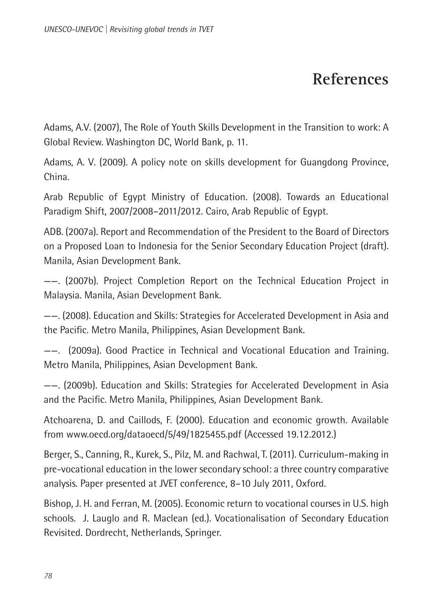## **References**

<span id="page-38-0"></span>Adams, A.V. (2007), The Role of Youth Skills Development in the Transition to work: A Global Review. Washington DC, World Bank, p. 11.

Adams, A. V. (2009). A policy note on skills development for Guangdong Province, China.

Arab Republic of Egypt Ministry of Education. (2008). Towards an Educational Paradigm Shift, 2007/2008–2011/2012. Cairo, Arab Republic of Egypt.

ADB. (2007a). Report and Recommendation of the President to the Board of Directors on a Proposed Loan to Indonesia for the Senior Secondary Education Project (draft). Manila, Asian Development Bank.

——. (2007b). Project Completion Report on the Technical Education Project in Malaysia. Manila, Asian Development Bank.

——. (2008). Education and Skills: Strategies for Accelerated Development in Asia and the Pacific. Metro Manila, Philippines, Asian Development Bank.

——. (2009a). Good Practice in Technical and Vocational Education and Training. Metro Manila, Philippines, Asian Development Bank.

——. (2009b). Education and Skills: Strategies for Accelerated Development in Asia and the Pacific. Metro Manila, Philippines, Asian Development Bank.

Atchoarena, D. and Caillods, F. (2000). Education and economic growth. Available from www.oecd.org/dataoecd/5/49/1825455.pdf (Accessed 19.12.2012.)

Berger, S., Canning, R., Kurek, S., Pilz, M. and Rachwal, T. (2011). Curriculum-making in pre-vocational education in the lower secondary school: a three country comparative analysis. Paper presented at JVET conference, 8–10 July 2011, Oxford.

Bishop, J. H. and Ferran, M. (2005). Economic return to vocational courses in U.S. high schools. J. Lauglo and R. Maclean (ed.). Vocationalisation of Secondary Education Revisited. Dordrecht, Netherlands, Springer.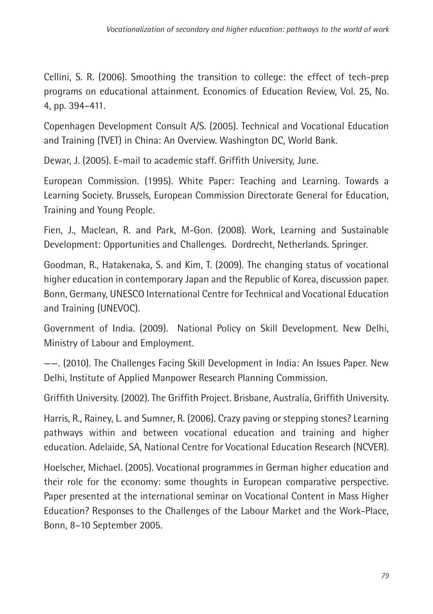Cellini, S. R. (2006). Smoothing the transition to college: the effect of tech-prep programs on educational attainment. Economics of Education Review, Vol. 25, No. 4, pp. 394–411.

Copenhagen Development Consult A/S. (2005). Technical and Vocational Education and Training (TVET) in China: An Overview. Washington DC, World Bank.

Dewar, J. (2005). E-mail to academic staff. Griffith University, June.

European Commission. (1995). White Paper: Teaching and Learning. Towards a Learning Society. Brussels, European Commission Directorate General for Education, Training and Young People.

Fien, J., Maclean, R. and Park, M-Gon. (2008). Work, Learning and Sustainable Development: Opportunities and Challenges. Dordrecht, Netherlands. Springer.

Goodman, R., Hatakenaka, S. and Kim, T. (2009). The changing status of vocational higher education in contemporary Japan and the Republic of Korea, discussion paper. Bonn, Germany, UNESCO International Centre for Technical and Vocational Education and Training (UNEVOC).

Government of India. (2009). National Policy on Skill Development. New Delhi, Ministry of Labour and Employment.

——. (2010). The Challenges Facing Skill Development in India: An Issues Paper. New Delhi, Institute of Applied Manpower Research Planning Commission.

Griffith University. (2002). The Griffith Project. Brisbane, Australia, Griffith University.

Harris, R., Rainey, L. and Sumner, R. (2006). Crazy paving or stepping stones? Learning pathways within and between vocational education and training and higher education. Adelaide, SA, National Centre for Vocational Education Research (NCVER).

Hoelscher, Michael. (2005). Vocational programmes in German higher education and their role for the economy: some thoughts in European comparative perspective. Paper presented at the international seminar on Vocational Content in Mass Higher Education? Responses to the Challenges of the Labour Market and the Work-Place, Bonn, 8–10 September 2005.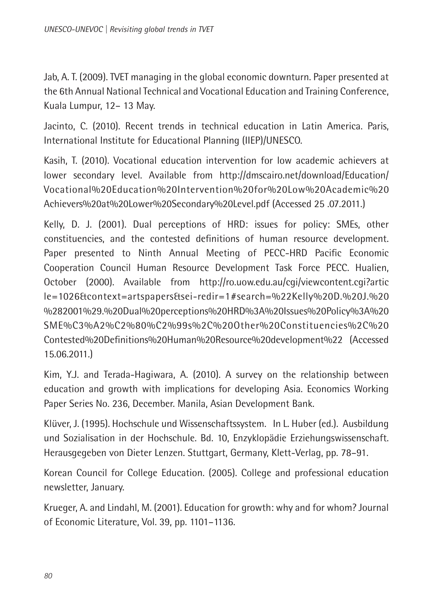Jab, A. T. (2009). TVET managing in the global economic downturn. Paper presented at the 6th Annual National Technical and Vocational Education and Training Conference, Kuala Lumpur, 12– 13 May.

Jacinto, C. (2010). Recent trends in technical education in Latin America. Paris, International Institute for Educational Planning (IIEP)/UNESCO.

Kasih, T. (2010). Vocational education intervention for low academic achievers at lower secondary level. Available from http://dmscairo.net/download/Education/ Vocational%20Education%20Intervention%20for%20Low%20Academic%20 Achievers%20at%20Lower%20Secondary%20Level.pdf (Accessed 25 .07.2011.)

Kelly, D. J. (2001). Dual perceptions of HRD: issues for policy: SMEs, other constituencies, and the contested definitions of human resource development. Paper presented to Ninth Annual Meeting of PECC-HRD Pacific Economic Cooperation Council Human Resource Development Task Force PECC. Hualien, October (2000). Available from http://ro.uow.edu.au/cgi/viewcontent.cgi?artic le=1026&context=artspapers&sei-redir=1#search=%22Kelly%20D.%20J.%20 %282001%29.%20Dual%20perceptions%20HRD%3A%20Issues%20Policy%3A%20 SME%C3%A2%C2%80%C2%99s%2C%20Other%20Constituencies%2C%20 Contested%20Definitions%20Human%20Resource%20development%22 (Accessed 15.06.2011.)

Kim, Y.J. and Terada-Hagiwara, A. (2010). A survey on the relationship between education and growth with implications for developing Asia. Economics Working Paper Series No. 236, December. Manila, Asian Development Bank.

Klüver, J. (1995). Hochschule und Wissenschaftssystem. In L. Huber (ed.). Ausbildung und Sozialisation in der Hochschule. Bd. 10, Enzyklopädie Erziehungswissenschaft. Herausgegeben von Dieter Lenzen. Stuttgart, Germany, Klett-Verlag, pp. 78–91.

Korean Council for College Education. (2005). College and professional education newsletter, January.

Krueger, A. and Lindahl, M. (2001). Education for growth: why and for whom? Journal of Economic Literature, Vol. 39, pp. 1101–1136.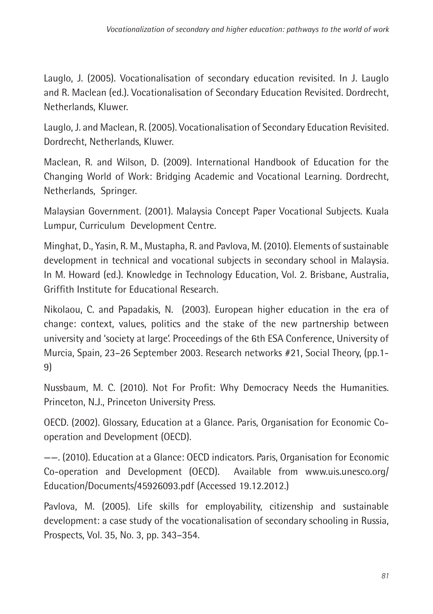Lauglo, J. (2005). Vocationalisation of secondary education revisited. In J. Lauglo and R. Maclean (ed.). Vocationalisation of Secondary Education Revisited. Dordrecht, Netherlands, Kluwer.

Lauglo, J. and Maclean, R. (2005). Vocationalisation of Secondary Education Revisited. Dordrecht, Netherlands, Kluwer.

Maclean, R. and Wilson, D. (2009). International Handbook of Education for the Changing World of Work: Bridging Academic and Vocational Learning. Dordrecht, Netherlands, Springer.

Malaysian Government. (2001). Malaysia Concept Paper Vocational Subjects. Kuala Lumpur, Curriculum Development Centre.

Minghat, D., Yasin, R. M., Mustapha, R. and Pavlova, M. (2010). Elements of sustainable development in technical and vocational subjects in secondary school in Malaysia. In M. Howard (ed.). Knowledge in Technology Education, Vol. 2. Brisbane, Australia, Griffith Institute for Educational Research.

Nikolaou, C. and Papadakis, N. (2003). European higher education in the era of change: context, values, politics and the stake of the new partnership between university and 'society at large'. Proceedings of the 6th ESA Conference, University of Murcia, Spain, 23–26 September 2003. Research networks #21, Social Theory, (pp.1- 9)

Nussbaum, M. C. (2010). Not For Profit: Why Democracy Needs the Humanities. Princeton, N.J., Princeton University Press.

OECD. (2002). Glossary, Education at a Glance. Paris, Organisation for Economic Cooperation and Development (OECD).

——. (2010). Education at a Glance: OECD indicators. Paris, Organisation for Economic Co-operation and Development (OECD). Available from www.uis.unesco.org/ Education/Documents/45926093.pdf (Accessed 19.12.2012.)

Pavlova, M. (2005). Life skills for employability, citizenship and sustainable development: a case study of the vocationalisation of secondary schooling in Russia, Prospects, Vol. 35, No. 3, pp. 343–354.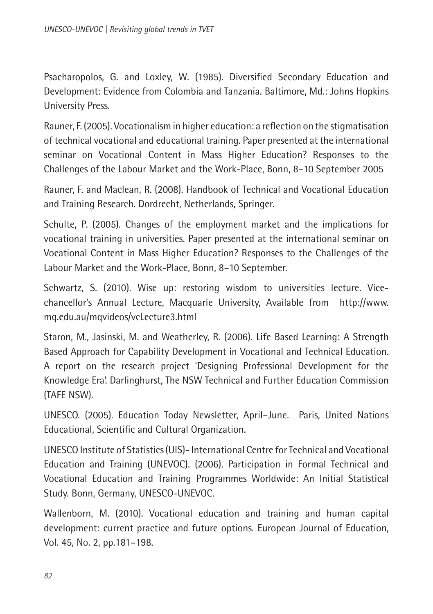Psacharopolos, G. and Loxley, W. (1985). Diversified Secondary Education and Development: Evidence from Colombia and Tanzania. Baltimore, Md.: Johns Hopkins University Press.

Rauner, F. (2005). Vocationalism in higher education: a reflection on the stigmatisation of technical vocational and educational training. Paper presented at the international seminar on Vocational Content in Mass Higher Education? Responses to the Challenges of the Labour Market and the Work-Place, Bonn, 8–10 September 2005

Rauner, F. and Maclean, R. (2008). Handbook of Technical and Vocational Education and Training Research. Dordrecht, Netherlands, Springer.

Schulte, P. (2005). Changes of the employment market and the implications for vocational training in universities. Paper presented at the international seminar on Vocational Content in Mass Higher Education? Responses to the Challenges of the Labour Market and the Work-Place, Bonn, 8–10 September.

Schwartz, S. (2010). Wise up: restoring wisdom to universities lecture. Vicechancellor's Annual Lecture, Macquarie University, Available from http://www. mq.edu.au/mqvideos/vcLecture3.html

Staron, M., Jasinski, M. and Weatherley, R. (2006). Life Based Learning: A Strength Based Approach for Capability Development in Vocational and Technical Education. A report on the research project 'Designing Professional Development for the Knowledge Era'. Darlinghurst, The NSW Technical and Further Education Commission (TAFE NSW).

UNESCO. (2005). Education Today Newsletter, April–June. Paris, United Nations Educational, Scientific and Cultural Organization.

UNESCO Institute of Statistics (UIS)- International Centre for Technical and Vocational Education and Training (UNEVOC). (2006). Participation in Formal Technical and Vocational Education and Training Programmes Worldwide: An Initial Statistical Study. Bonn, Germany, UNESCO-UNEVOC.

Wallenborn, M. (2010). Vocational education and training and human capital development: current practice and future options. European Journal of Education, Vol. 45, No. 2, pp.181–198.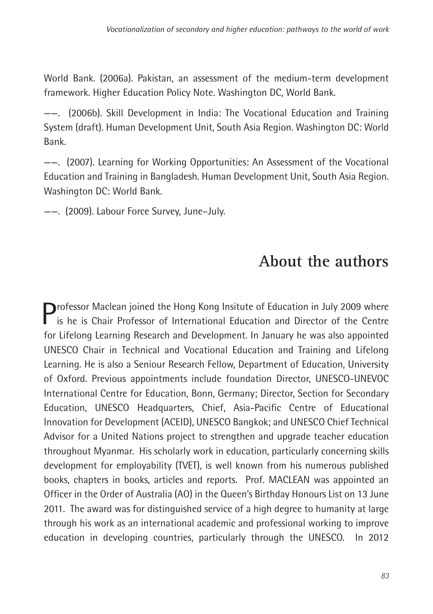<span id="page-43-0"></span>World Bank. (2006a). Pakistan, an assessment of the medium-term development framework. Higher Education Policy Note. Washington DC, World Bank.

——. (2006b). Skill Development in India: The Vocational Education and Training System (draft). Human Development Unit, South Asia Region. Washington DC: World Bank.

——. (2007). Learning for Working Opportunities: An Assessment of the Vocational Education and Training in Bangladesh. Human Development Unit, South Asia Region. Washington DC: World Bank.

——. (2009). Labour Force Survey, June–July.

## **About the authors**

**Professor Maclean joined the Hong Kong Insitute of Education in July 2009 where** is he is Chair Professor of International Education and Director of the Centre for Lifelong Learning Research and Development. In January he was also appointed UNESCO Chair in Technical and Vocational Education and Training and Lifelong Learning. He is also a Seniour Research Fellow, Department of Education, University of Oxford. Previous appointments include foundation Director, UNESCO-UNEVOC International Centre for Education, Bonn, Germany; Director, Section for Secondary Education, UNESCO Headquarters, Chief, Asia-Pacific Centre of Educational Innovation for Development (ACEID), UNESCO Bangkok; and UNESCO Chief Technical Advisor for a United Nations project to strengthen and upgrade teacher education throughout Myanmar. His scholarly work in education, particularly concerning skills development for employability (TVET), is well known from his numerous published books, chapters in books, articles and reports. Prof. MACLEAN was appointed an Officer in the Order of Australia (AO) in the Queen's Birthday Honours List on 13 June 2011. The award was for distinguished service of a high degree to humanity at large through his work as an international academic and professional working to improve education in developing countries, particularly through the UNESCO. In 2012